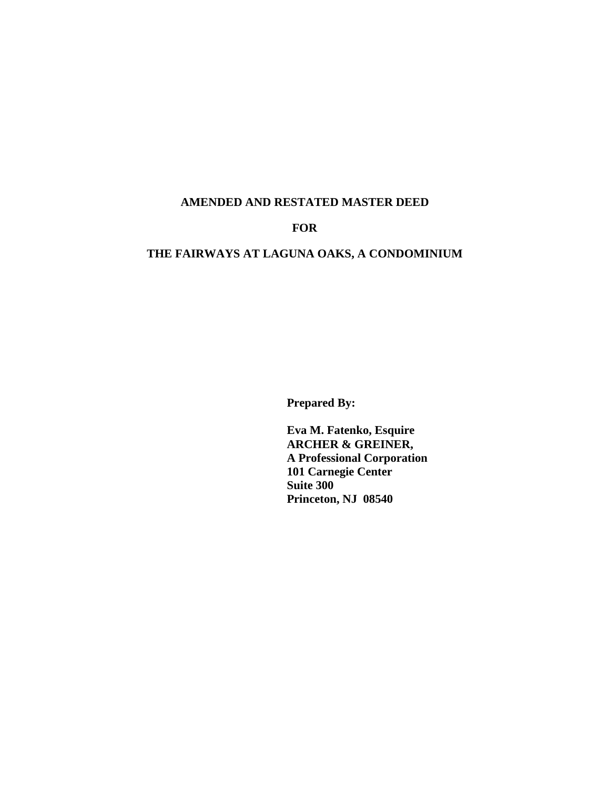#### **AMENDED AND RESTATED MASTER DEED**

## **FOR**

# **THE FAIRWAYS AT LAGUNA OAKS, A CONDOMINIUM**

**Prepared By:**

**Eva M. Fatenko, Esquire ARCHER & GREINER, A Professional Corporation 101 Carnegie Center Suite 300 Princeton, NJ 08540**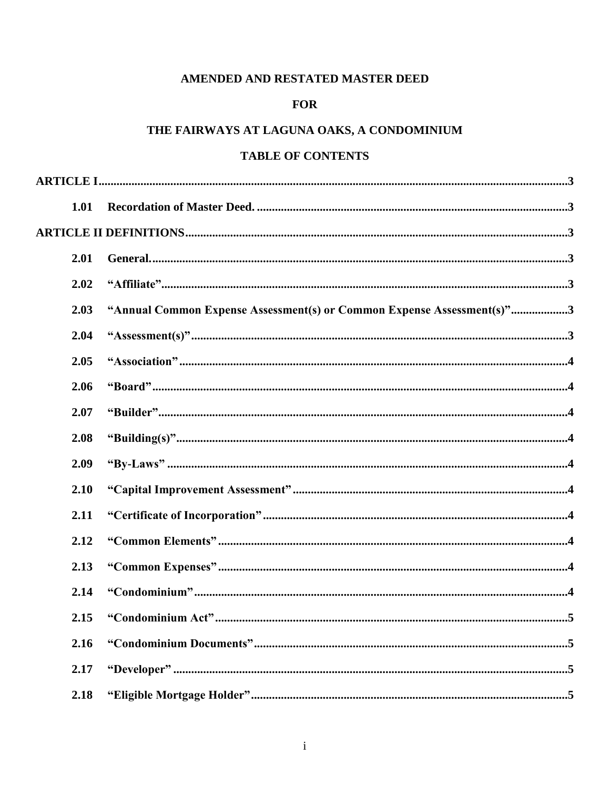# AMENDED AND RESTATED MASTER DEED

# **FOR**

# THE FAIRWAYS AT LAGUNA OAKS, A CONDOMINIUM

# **TABLE OF CONTENTS**

| 1.01 |                                                                        |
|------|------------------------------------------------------------------------|
|      |                                                                        |
| 2.01 |                                                                        |
| 2.02 |                                                                        |
| 2.03 | "Annual Common Expense Assessment(s) or Common Expense Assessment(s)"3 |
| 2.04 |                                                                        |
| 2.05 |                                                                        |
| 2.06 |                                                                        |
| 2.07 |                                                                        |
| 2.08 |                                                                        |
| 2.09 |                                                                        |
| 2.10 |                                                                        |
| 2.11 |                                                                        |
| 2.12 |                                                                        |
| 2.13 |                                                                        |
| 2.14 |                                                                        |
| 2.15 |                                                                        |
| 2.16 |                                                                        |
| 2.17 |                                                                        |
| 2.18 |                                                                        |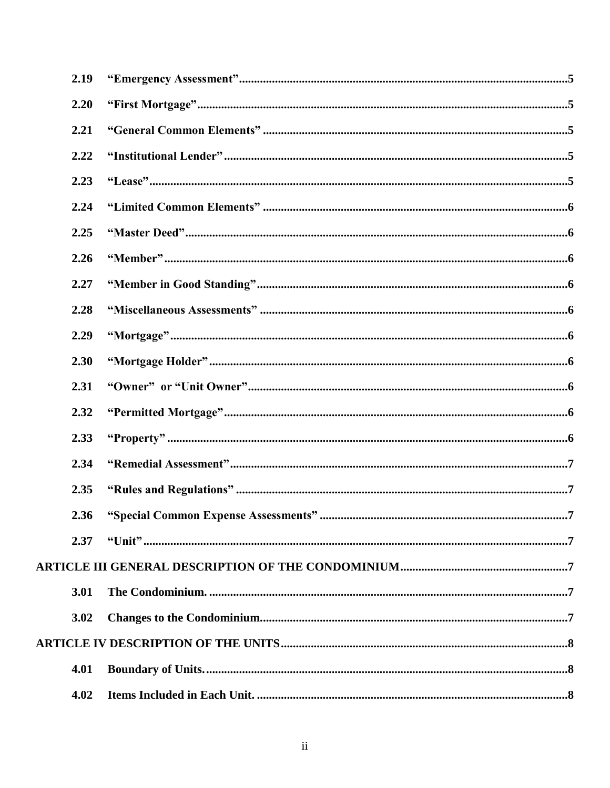| 2.19 |   |
|------|---|
| 2.20 |   |
| 2.21 |   |
| 2.22 |   |
| 2.23 |   |
| 2.24 |   |
| 2.25 |   |
| 2.26 |   |
| 2.27 |   |
| 2.28 |   |
| 2.29 |   |
| 2.30 |   |
| 2.31 |   |
| 2.32 |   |
| 2.33 |   |
| 2.34 |   |
| 2.35 |   |
| 2.36 | 7 |
| 2.37 |   |
|      |   |
| 3.01 |   |
| 3.02 |   |
|      |   |
| 4.01 |   |
| 4.02 |   |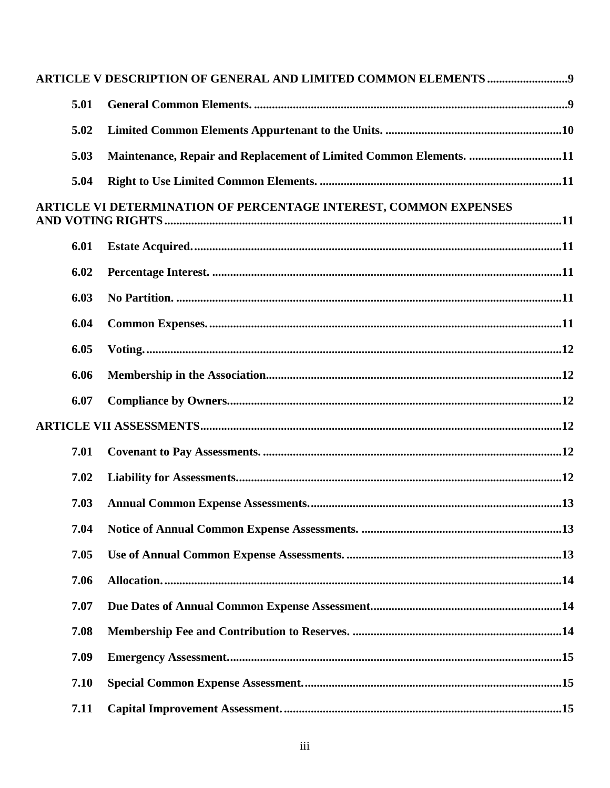| 5.01 |                                                                    |  |
|------|--------------------------------------------------------------------|--|
| 5.02 |                                                                    |  |
| 5.03 | Maintenance, Repair and Replacement of Limited Common Elements. 11 |  |
| 5.04 |                                                                    |  |
|      | ARTICLE VI DETERMINATION OF PERCENTAGE INTEREST, COMMON EXPENSES   |  |
| 6.01 |                                                                    |  |
| 6.02 |                                                                    |  |
| 6.03 |                                                                    |  |
| 6.04 |                                                                    |  |
| 6.05 |                                                                    |  |
| 6.06 |                                                                    |  |
| 6.07 |                                                                    |  |
|      |                                                                    |  |
| 7.01 |                                                                    |  |
| 7.02 |                                                                    |  |
| 7.03 |                                                                    |  |
| 7.04 |                                                                    |  |
| 7.05 |                                                                    |  |
| 7.06 |                                                                    |  |
| 7.07 |                                                                    |  |
| 7.08 |                                                                    |  |
| 7.09 |                                                                    |  |
| 7.10 |                                                                    |  |
| 7.11 |                                                                    |  |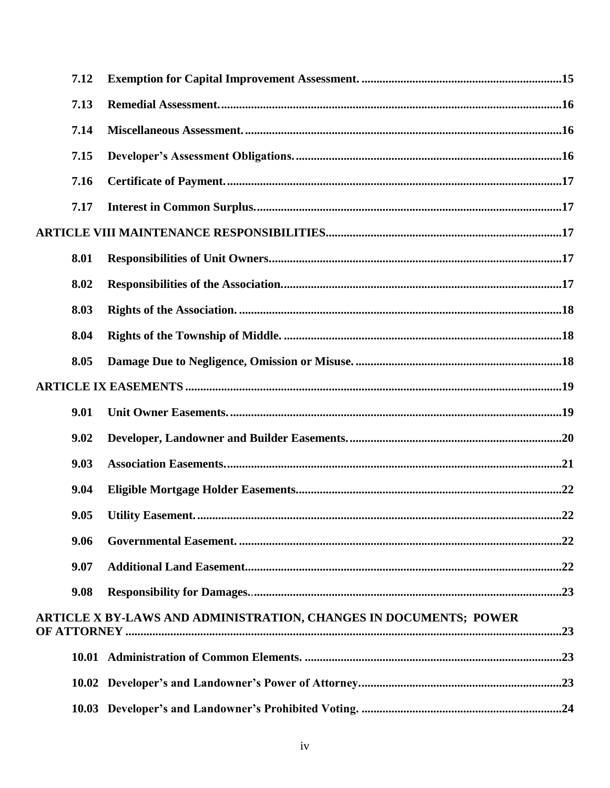| 7.12     |                                                                   |     |
|----------|-------------------------------------------------------------------|-----|
| 7.13     |                                                                   |     |
| 7.14     |                                                                   |     |
| 7.15     |                                                                   |     |
| 7.16     |                                                                   |     |
| 7.17     |                                                                   |     |
|          |                                                                   |     |
| 8.01     |                                                                   |     |
| 8.02     |                                                                   |     |
| 8.03     |                                                                   |     |
| 8.04     |                                                                   |     |
| 8.05     |                                                                   |     |
|          |                                                                   |     |
| 9.01     |                                                                   |     |
| 9.02     |                                                                   |     |
| 9.03     |                                                                   |     |
| 9.04     |                                                                   |     |
| $9.05 -$ | <b>Utility Easement.</b>                                          | .22 |
| 9.06     |                                                                   |     |
| 9.07     |                                                                   |     |
| 9.08     |                                                                   |     |
|          | ARTICLE X BY-LAWS AND ADMINISTRATION, CHANGES IN DOCUMENTS; POWER |     |
|          |                                                                   |     |
|          |                                                                   |     |
|          |                                                                   |     |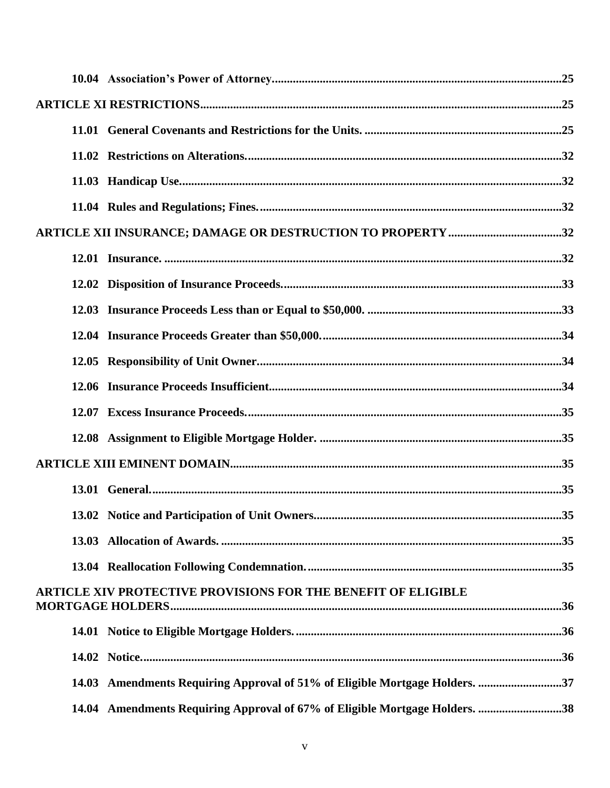| ARTICLE XII INSURANCE; DAMAGE OR DESTRUCTION TO PROPERTY 32                 |  |
|-----------------------------------------------------------------------------|--|
|                                                                             |  |
|                                                                             |  |
|                                                                             |  |
|                                                                             |  |
|                                                                             |  |
|                                                                             |  |
|                                                                             |  |
|                                                                             |  |
|                                                                             |  |
|                                                                             |  |
|                                                                             |  |
|                                                                             |  |
|                                                                             |  |
| ARTICLE XIV PROTECTIVE PROVISIONS FOR THE BENEFIT OF ELIGIBLE               |  |
|                                                                             |  |
|                                                                             |  |
| 14.03 Amendments Requiring Approval of 51% of Eligible Mortgage Holders. 37 |  |
| 14.04 Amendments Requiring Approval of 67% of Eligible Mortgage Holders. 38 |  |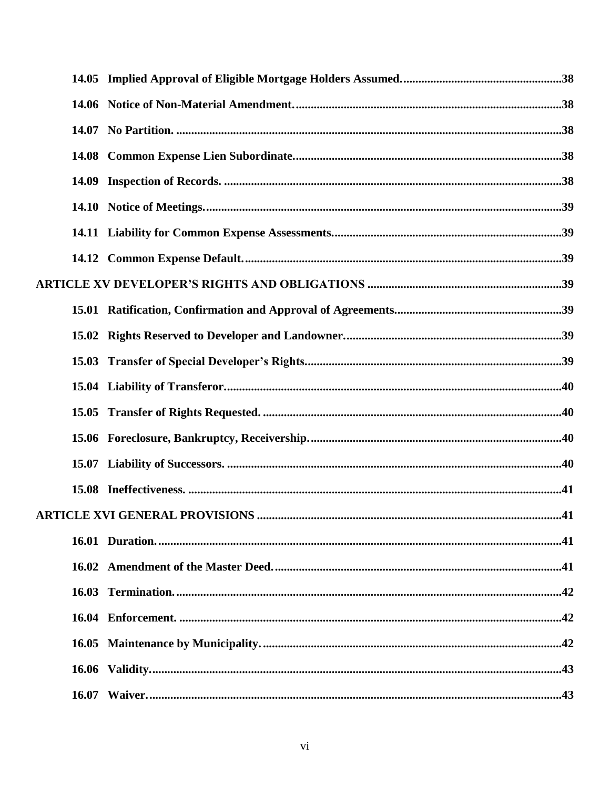|  | .41 |
|--|-----|
|  |     |
|  |     |
|  |     |
|  |     |
|  |     |
|  |     |
|  |     |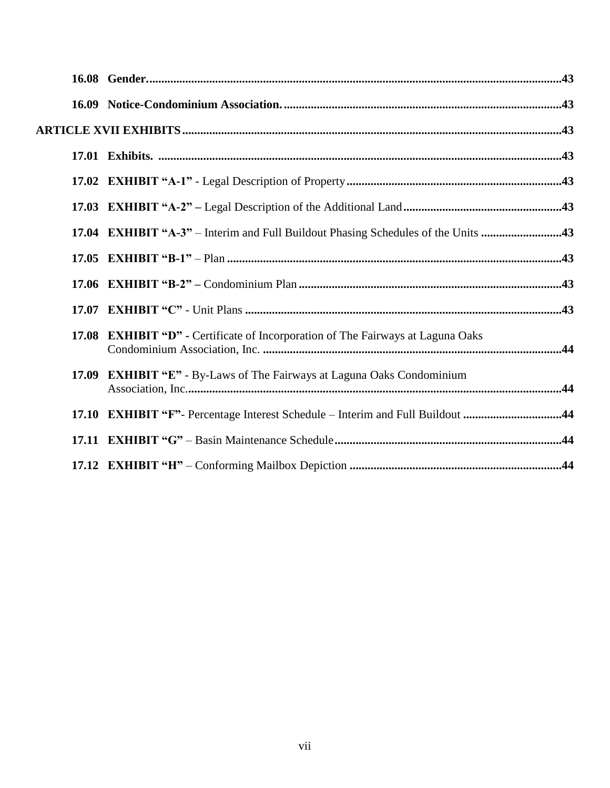| 17.04 EXHIBIT "A-3" – Interim and Full Buildout Phasing Schedules of the Units 43 |  |
|-----------------------------------------------------------------------------------|--|
|                                                                                   |  |
|                                                                                   |  |
|                                                                                   |  |
| 17.08 EXHIBIT "D" - Certificate of Incorporation of The Fairways at Laguna Oaks   |  |
| 17.09 EXHIBIT "E" - By-Laws of The Fairways at Laguna Oaks Condominium            |  |
| 17.10 EXHIBIT "F"- Percentage Interest Schedule - Interim and Full Buildout 44    |  |
|                                                                                   |  |
|                                                                                   |  |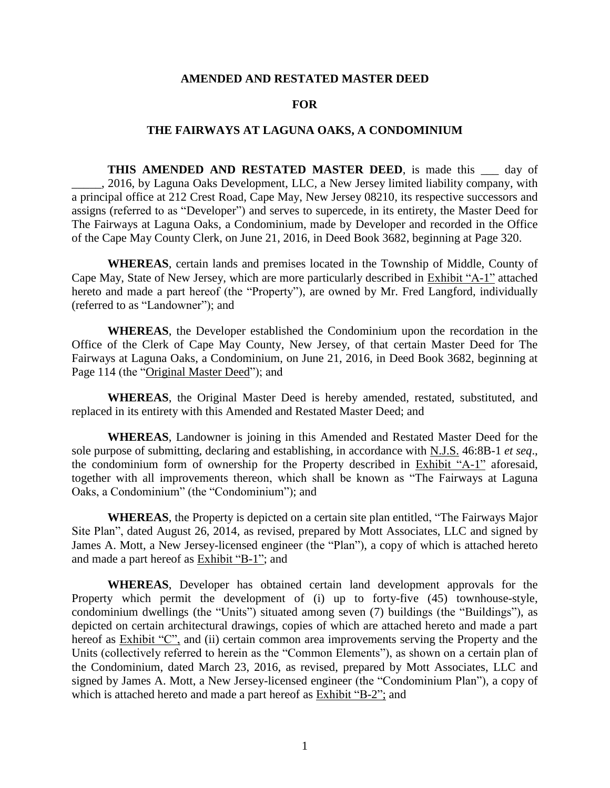#### **AMENDED AND RESTATED MASTER DEED**

#### **FOR**

#### **THE FAIRWAYS AT LAGUNA OAKS, A CONDOMINIUM**

**THIS AMENDED AND RESTATED MASTER DEED**, is made this \_\_\_ day of \_\_\_\_\_, 2016, by Laguna Oaks Development, LLC, a New Jersey limited liability company, with a principal office at 212 Crest Road, Cape May, New Jersey 08210, its respective successors and assigns (referred to as "Developer") and serves to supercede, in its entirety, the Master Deed for The Fairways at Laguna Oaks, a Condominium, made by Developer and recorded in the Office of the Cape May County Clerk, on June 21, 2016, in Deed Book 3682, beginning at Page 320.

**WHEREAS**, certain lands and premises located in the Township of Middle, County of Cape May, State of New Jersey, which are more particularly described in Exhibit "A-1" attached hereto and made a part hereof (the "Property"), are owned by Mr. Fred Langford, individually (referred to as "Landowner"); and

**WHEREAS**, the Developer established the Condominium upon the recordation in the Office of the Clerk of Cape May County, New Jersey, of that certain Master Deed for The Fairways at Laguna Oaks, a Condominium, on June 21, 2016, in Deed Book 3682, beginning at Page 114 (the "Original Master Deed"); and

**WHEREAS**, the Original Master Deed is hereby amended, restated, substituted, and replaced in its entirety with this Amended and Restated Master Deed; and

**WHEREAS**, Landowner is joining in this Amended and Restated Master Deed for the sole purpose of submitting, declaring and establishing, in accordance with N.J.S. 46:8B-1 *et seq*., the condominium form of ownership for the Property described in Exhibit "A-1" aforesaid, together with all improvements thereon, which shall be known as "The Fairways at Laguna Oaks, a Condominium" (the "Condominium"); and

**WHEREAS**, the Property is depicted on a certain site plan entitled, "The Fairways Major Site Plan", dated August 26, 2014, as revised, prepared by Mott Associates, LLC and signed by James A. Mott, a New Jersey-licensed engineer (the "Plan"), a copy of which is attached hereto and made a part hereof as Exhibit "B-1"; and

**WHEREAS**, Developer has obtained certain land development approvals for the Property which permit the development of (i) up to forty-five (45) townhouse-style, condominium dwellings (the "Units") situated among seven (7) buildings (the "Buildings"), as depicted on certain architectural drawings, copies of which are attached hereto and made a part hereof as **Exhibit "C"**, and (ii) certain common area improvements serving the Property and the Units (collectively referred to herein as the "Common Elements"), as shown on a certain plan of the Condominium, dated March 23, 2016, as revised, prepared by Mott Associates, LLC and signed by James A. Mott, a New Jersey-licensed engineer (the "Condominium Plan"), a copy of which is attached hereto and made a part hereof as **Exhibit "B-2"**; and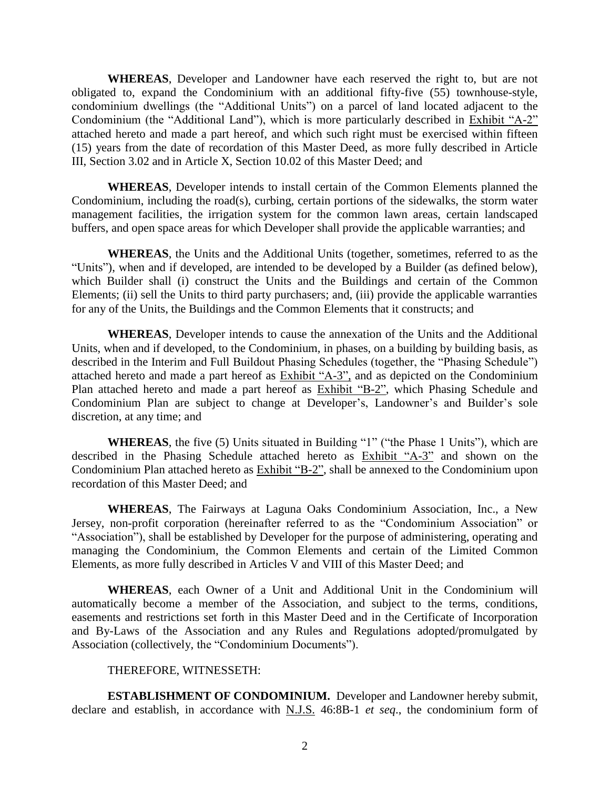**WHEREAS**, Developer and Landowner have each reserved the right to, but are not obligated to, expand the Condominium with an additional fifty-five (55) townhouse-style, condominium dwellings (the "Additional Units") on a parcel of land located adjacent to the Condominium (the "Additional Land"), which is more particularly described in Exhibit "A-2" attached hereto and made a part hereof, and which such right must be exercised within fifteen (15) years from the date of recordation of this Master Deed, as more fully described in Article III, Section 3.02 and in Article X, Section 10.02 of this Master Deed; and

**WHEREAS**, Developer intends to install certain of the Common Elements planned the Condominium, including the road(s), curbing, certain portions of the sidewalks, the storm water management facilities, the irrigation system for the common lawn areas, certain landscaped buffers, and open space areas for which Developer shall provide the applicable warranties; and

**WHEREAS**, the Units and the Additional Units (together, sometimes, referred to as the "Units"), when and if developed, are intended to be developed by a Builder (as defined below), which Builder shall (i) construct the Units and the Buildings and certain of the Common Elements; (ii) sell the Units to third party purchasers; and, (iii) provide the applicable warranties for any of the Units, the Buildings and the Common Elements that it constructs; and

**WHEREAS**, Developer intends to cause the annexation of the Units and the Additional Units, when and if developed, to the Condominium, in phases, on a building by building basis, as described in the Interim and Full Buildout Phasing Schedules (together, the "Phasing Schedule") attached hereto and made a part hereof as Exhibit "A-3", and as depicted on the Condominium Plan attached hereto and made a part hereof as Exhibit "B-2", which Phasing Schedule and Condominium Plan are subject to change at Developer's, Landowner's and Builder's sole discretion, at any time; and

**WHEREAS**, the five (5) Units situated in Building "1" ("the Phase 1 Units"), which are described in the Phasing Schedule attached hereto as Exhibit "A-3" and shown on the Condominium Plan attached hereto as Exhibit "B-2", shall be annexed to the Condominium upon recordation of this Master Deed; and

**WHEREAS**, The Fairways at Laguna Oaks Condominium Association, Inc., a New Jersey, non-profit corporation (hereinafter referred to as the "Condominium Association" or "Association"), shall be established by Developer for the purpose of administering, operating and managing the Condominium, the Common Elements and certain of the Limited Common Elements, as more fully described in Articles V and VIII of this Master Deed; and

**WHEREAS**, each Owner of a Unit and Additional Unit in the Condominium will automatically become a member of the Association, and subject to the terms, conditions, easements and restrictions set forth in this Master Deed and in the Certificate of Incorporation and By-Laws of the Association and any Rules and Regulations adopted/promulgated by Association (collectively, the "Condominium Documents").

#### THEREFORE, WITNESSETH:

**ESTABLISHMENT OF CONDOMINIUM.** Developer and Landowner hereby submit, declare and establish, in accordance with N.J.S. 46:8B-1 *et seq*., the condominium form of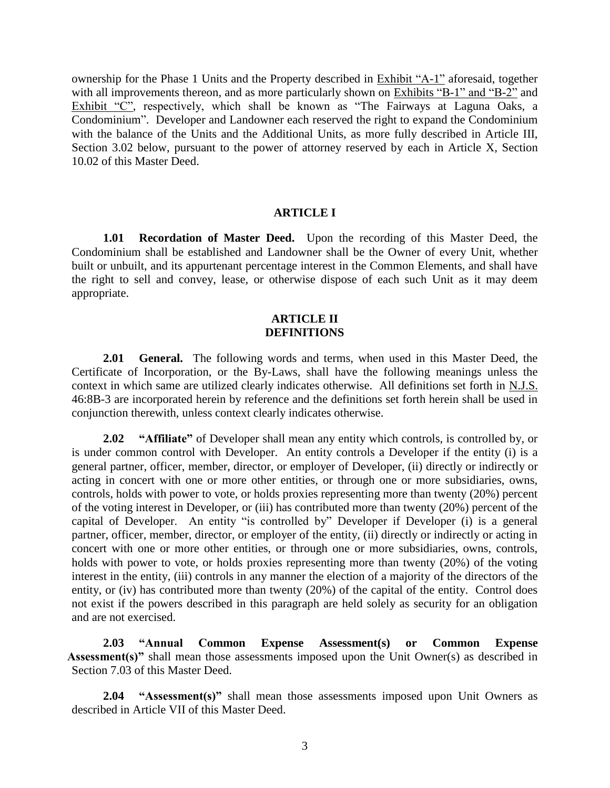ownership for the Phase 1 Units and the Property described in Exhibit "A-1" aforesaid, together with all improvements thereon, and as more particularly shown on Exhibits "B-1" and "B-2" and Exhibit "C", respectively, which shall be known as "The Fairways at Laguna Oaks, a Condominium". Developer and Landowner each reserved the right to expand the Condominium with the balance of the Units and the Additional Units, as more fully described in Article III, Section 3.02 below, pursuant to the power of attorney reserved by each in Article X, Section 10.02 of this Master Deed.

#### **ARTICLE I**

**1.01 Recordation of Master Deed.** Upon the recording of this Master Deed, the Condominium shall be established and Landowner shall be the Owner of every Unit, whether built or unbuilt, and its appurtenant percentage interest in the Common Elements, and shall have the right to sell and convey, lease, or otherwise dispose of each such Unit as it may deem appropriate.

#### **ARTICLE II DEFINITIONS**

**2.01 General.** The following words and terms, when used in this Master Deed, the Certificate of Incorporation, or the By-Laws, shall have the following meanings unless the context in which same are utilized clearly indicates otherwise. All definitions set forth in N.J.S. 46:8B-3 are incorporated herein by reference and the definitions set forth herein shall be used in conjunction therewith, unless context clearly indicates otherwise.

**2.02 "Affiliate"** of Developer shall mean any entity which controls, is controlled by, or is under common control with Developer. An entity controls a Developer if the entity (i) is a general partner, officer, member, director, or employer of Developer, (ii) directly or indirectly or acting in concert with one or more other entities, or through one or more subsidiaries, owns, controls, holds with power to vote, or holds proxies representing more than twenty (20%) percent of the voting interest in Developer, or (iii) has contributed more than twenty (20%) percent of the capital of Developer. An entity "is controlled by" Developer if Developer (i) is a general partner, officer, member, director, or employer of the entity, (ii) directly or indirectly or acting in concert with one or more other entities, or through one or more subsidiaries, owns, controls, holds with power to vote, or holds proxies representing more than twenty (20%) of the voting interest in the entity, (iii) controls in any manner the election of a majority of the directors of the entity, or (iv) has contributed more than twenty (20%) of the capital of the entity. Control does not exist if the powers described in this paragraph are held solely as security for an obligation and are not exercised.

**2.03 "Annual Common Expense Assessment(s) or Common Expense Assessment(s)"** shall mean those assessments imposed upon the Unit Owner(s) as described in Section 7.03 of this Master Deed.

**2.04 "Assessment(s)"** shall mean those assessments imposed upon Unit Owners as described in Article VII of this Master Deed.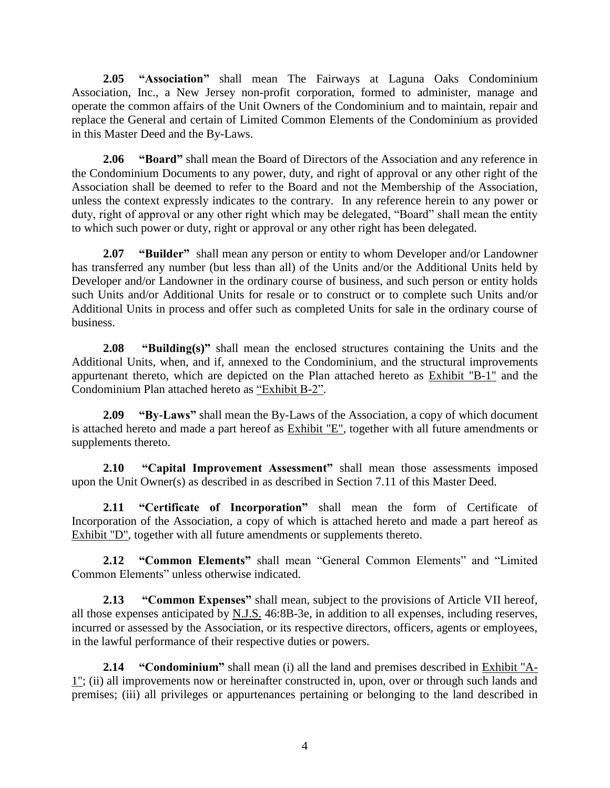**2.05 "Association"** shall mean The Fairways at Laguna Oaks Condominium Association, Inc., a New Jersey non-profit corporation, formed to administer, manage and operate the common affairs of the Unit Owners of the Condominium and to maintain, repair and replace the General and certain of Limited Common Elements of the Condominium as provided in this Master Deed and the By-Laws.

**2.06 "Board"** shall mean the Board of Directors of the Association and any reference in the Condominium Documents to any power, duty, and right of approval or any other right of the Association shall be deemed to refer to the Board and not the Membership of the Association, unless the context expressly indicates to the contrary. In any reference herein to any power or duty, right of approval or any other right which may be delegated, "Board" shall mean the entity to which such power or duty, right or approval or any other right has been delegated.

**2.07 "Builder"** shall mean any person or entity to whom Developer and/or Landowner has transferred any number (but less than all) of the Units and/or the Additional Units held by Developer and/or Landowner in the ordinary course of business, and such person or entity holds such Units and/or Additional Units for resale or to construct or to complete such Units and/or Additional Units in process and offer such as completed Units for sale in the ordinary course of business.

**2.08 "Building(s)"** shall mean the enclosed structures containing the Units and the Additional Units, when, and if, annexed to the Condominium, and the structural improvements appurtenant thereto, which are depicted on the Plan attached hereto as Exhibit "B-1" and the Condominium Plan attached hereto as "Exhibit B-2".

**2.09 "By-Laws"** shall mean the By-Laws of the Association, a copy of which document is attached hereto and made a part hereof as Exhibit "E", together with all future amendments or supplements thereto.

**2.10 "Capital Improvement Assessment"** shall mean those assessments imposed upon the Unit Owner(s) as described in as described in Section 7.11 of this Master Deed.

**2.11 "Certificate of Incorporation"** shall mean the form of Certificate of Incorporation of the Association, a copy of which is attached hereto and made a part hereof as Exhibit "D", together with all future amendments or supplements thereto.

**2.12 "Common Elements"** shall mean "General Common Elements" and "Limited Common Elements" unless otherwise indicated.

**2.13 "Common Expenses"** shall mean, subject to the provisions of Article VII hereof, all those expenses anticipated by N.J.S. 46:8B-3e, in addition to all expenses, including reserves, incurred or assessed by the Association, or its respective directors, officers, agents or employees, in the lawful performance of their respective duties or powers.

**2.14 "Condominium"** shall mean (i) all the land and premises described in Exhibit "A-1"; (ii) all improvements now or hereinafter constructed in, upon, over or through such lands and premises; (iii) all privileges or appurtenances pertaining or belonging to the land described in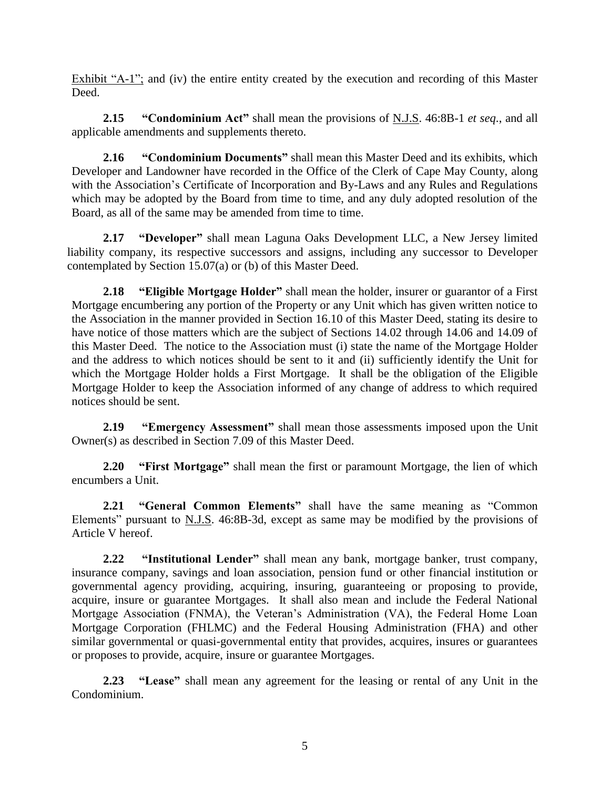Exhibit "A-1"; and (iv) the entire entity created by the execution and recording of this Master Deed.

**2.15 "Condominium Act"** shall mean the provisions of N.J.S. 46:8B-1 *et seq*., and all applicable amendments and supplements thereto.

**2.16 "Condominium Documents"** shall mean this Master Deed and its exhibits, which Developer and Landowner have recorded in the Office of the Clerk of Cape May County, along with the Association's Certificate of Incorporation and By-Laws and any Rules and Regulations which may be adopted by the Board from time to time, and any duly adopted resolution of the Board, as all of the same may be amended from time to time.

**2.17 "Developer"** shall mean Laguna Oaks Development LLC, a New Jersey limited liability company, its respective successors and assigns, including any successor to Developer contemplated by Section 15.07(a) or (b) of this Master Deed.

**2.18 "Eligible Mortgage Holder"** shall mean the holder, insurer or guarantor of a First Mortgage encumbering any portion of the Property or any Unit which has given written notice to the Association in the manner provided in Section 16.10 of this Master Deed, stating its desire to have notice of those matters which are the subject of Sections 14.02 through 14.06 and 14.09 of this Master Deed. The notice to the Association must (i) state the name of the Mortgage Holder and the address to which notices should be sent to it and (ii) sufficiently identify the Unit for which the Mortgage Holder holds a First Mortgage. It shall be the obligation of the Eligible Mortgage Holder to keep the Association informed of any change of address to which required notices should be sent.

**2.19 "Emergency Assessment"** shall mean those assessments imposed upon the Unit Owner(s) as described in Section 7.09 of this Master Deed.

**2.20 "First Mortgage"** shall mean the first or paramount Mortgage, the lien of which encumbers a Unit.

**2.21 "General Common Elements"** shall have the same meaning as "Common Elements" pursuant to N.J.S. 46:8B-3d, except as same may be modified by the provisions of Article V hereof.

**2.22 "Institutional Lender"** shall mean any bank, mortgage banker, trust company, insurance company, savings and loan association, pension fund or other financial institution or governmental agency providing, acquiring, insuring, guaranteeing or proposing to provide, acquire, insure or guarantee Mortgages. It shall also mean and include the Federal National Mortgage Association (FNMA), the Veteran's Administration (VA), the Federal Home Loan Mortgage Corporation (FHLMC) and the Federal Housing Administration (FHA) and other similar governmental or quasi-governmental entity that provides, acquires, insures or guarantees or proposes to provide, acquire, insure or guarantee Mortgages.

**2.23 "Lease"** shall mean any agreement for the leasing or rental of any Unit in the Condominium.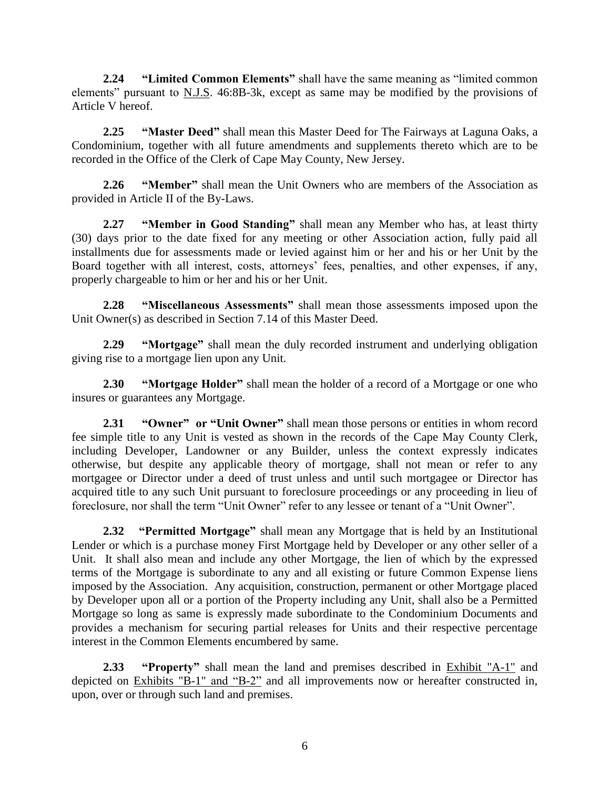**2.24 "Limited Common Elements"** shall have the same meaning as "limited common elements" pursuant to N.J.S. 46:8B-3k, except as same may be modified by the provisions of Article V hereof.

**2.25 "Master Deed"** shall mean this Master Deed for The Fairways at Laguna Oaks, a Condominium, together with all future amendments and supplements thereto which are to be recorded in the Office of the Clerk of Cape May County, New Jersey.

**2.26 "Member"** shall mean the Unit Owners who are members of the Association as provided in Article II of the By-Laws.

**2.27 "Member in Good Standing"** shall mean any Member who has, at least thirty (30) days prior to the date fixed for any meeting or other Association action, fully paid all installments due for assessments made or levied against him or her and his or her Unit by the Board together with all interest, costs, attorneys' fees, penalties, and other expenses, if any, properly chargeable to him or her and his or her Unit.

**2.28 "Miscellaneous Assessments"** shall mean those assessments imposed upon the Unit Owner(s) as described in Section 7.14 of this Master Deed.

**2.29 "Mortgage"** shall mean the duly recorded instrument and underlying obligation giving rise to a mortgage lien upon any Unit.

**2.30 "Mortgage Holder"** shall mean the holder of a record of a Mortgage or one who insures or guarantees any Mortgage.

**2.31 "Owner" or "Unit Owner"** shall mean those persons or entities in whom record fee simple title to any Unit is vested as shown in the records of the Cape May County Clerk, including Developer, Landowner or any Builder, unless the context expressly indicates otherwise, but despite any applicable theory of mortgage, shall not mean or refer to any mortgagee or Director under a deed of trust unless and until such mortgagee or Director has acquired title to any such Unit pursuant to foreclosure proceedings or any proceeding in lieu of foreclosure, nor shall the term "Unit Owner" refer to any lessee or tenant of a "Unit Owner".

**2.32 "Permitted Mortgage"** shall mean any Mortgage that is held by an Institutional Lender or which is a purchase money First Mortgage held by Developer or any other seller of a Unit. It shall also mean and include any other Mortgage, the lien of which by the expressed terms of the Mortgage is subordinate to any and all existing or future Common Expense liens imposed by the Association. Any acquisition, construction, permanent or other Mortgage placed by Developer upon all or a portion of the Property including any Unit, shall also be a Permitted Mortgage so long as same is expressly made subordinate to the Condominium Documents and provides a mechanism for securing partial releases for Units and their respective percentage interest in the Common Elements encumbered by same.

**2.33 "Property"** shall mean the land and premises described in Exhibit "A-1" and depicted on Exhibits "B-1" and "B-2" and all improvements now or hereafter constructed in, upon, over or through such land and premises.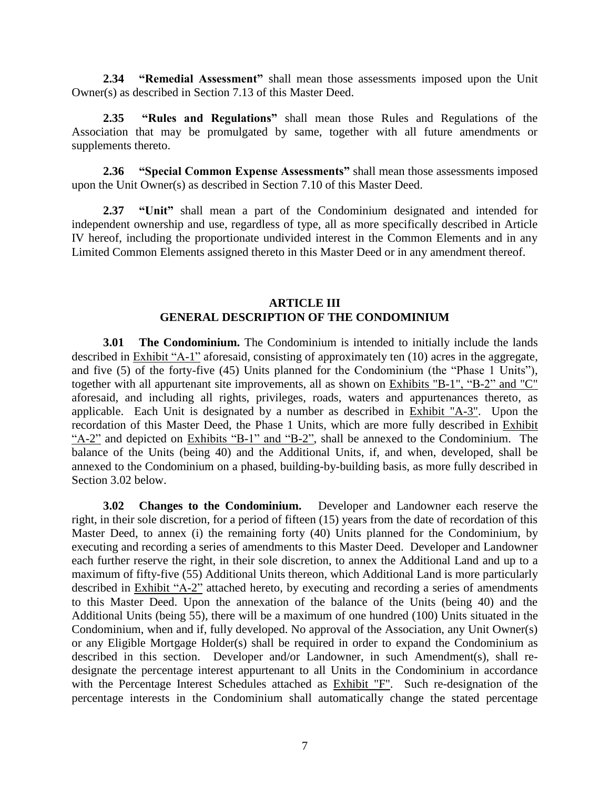**2.34 "Remedial Assessment"** shall mean those assessments imposed upon the Unit Owner(s) as described in Section 7.13 of this Master Deed.

**2.35 "Rules and Regulations"** shall mean those Rules and Regulations of the Association that may be promulgated by same, together with all future amendments or supplements thereto.

**2.36 "Special Common Expense Assessments"** shall mean those assessments imposed upon the Unit Owner(s) as described in Section 7.10 of this Master Deed.

**2.37 "Unit"** shall mean a part of the Condominium designated and intended for independent ownership and use, regardless of type, all as more specifically described in Article IV hereof, including the proportionate undivided interest in the Common Elements and in any Limited Common Elements assigned thereto in this Master Deed or in any amendment thereof.

#### **ARTICLE III GENERAL DESCRIPTION OF THE CONDOMINIUM**

**3.01 The Condominium.** The Condominium is intended to initially include the lands described in Exhibit "A-1" aforesaid, consisting of approximately ten (10) acres in the aggregate, and five (5) of the forty-five (45) Units planned for the Condominium (the "Phase 1 Units"), together with all appurtenant site improvements, all as shown on Exhibits "B-1", "B-2" and "C" aforesaid, and including all rights, privileges, roads, waters and appurtenances thereto, as applicable. Each Unit is designated by a number as described in Exhibit "A-3". Upon the recordation of this Master Deed, the Phase 1 Units, which are more fully described in Exhibit "A-2" and depicted on Exhibits "B-1" and "B-2", shall be annexed to the Condominium. The balance of the Units (being 40) and the Additional Units, if, and when, developed, shall be annexed to the Condominium on a phased, building-by-building basis, as more fully described in Section 3.02 below.

**3.02 Changes to the Condominium.** Developer and Landowner each reserve the right, in their sole discretion, for a period of fifteen (15) years from the date of recordation of this Master Deed, to annex (i) the remaining forty (40) Units planned for the Condominium, by executing and recording a series of amendments to this Master Deed. Developer and Landowner each further reserve the right, in their sole discretion, to annex the Additional Land and up to a maximum of fifty-five (55) Additional Units thereon, which Additional Land is more particularly described in Exhibit "A-2" attached hereto, by executing and recording a series of amendments to this Master Deed. Upon the annexation of the balance of the Units (being 40) and the Additional Units (being 55), there will be a maximum of one hundred (100) Units situated in the Condominium, when and if, fully developed. No approval of the Association, any Unit Owner(s) or any Eligible Mortgage Holder(s) shall be required in order to expand the Condominium as described in this section. Developer and/or Landowner, in such Amendment(s), shall redesignate the percentage interest appurtenant to all Units in the Condominium in accordance with the Percentage Interest Schedules attached as Exhibit "F". Such re-designation of the percentage interests in the Condominium shall automatically change the stated percentage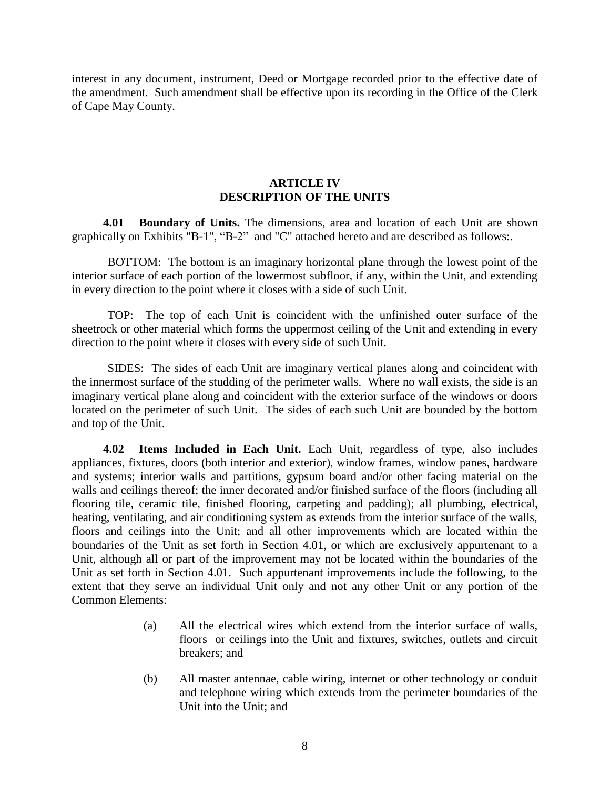interest in any document, instrument, Deed or Mortgage recorded prior to the effective date of the amendment. Such amendment shall be effective upon its recording in the Office of the Clerk of Cape May County.

### **ARTICLE IV DESCRIPTION OF THE UNITS**

**4.01 Boundary of Units.** The dimensions, area and location of each Unit are shown graphically on Exhibits "B-1", "B-2" and "C" attached hereto and are described as follows:.

BOTTOM: The bottom is an imaginary horizontal plane through the lowest point of the interior surface of each portion of the lowermost subfloor, if any, within the Unit, and extending in every direction to the point where it closes with a side of such Unit.

TOP: The top of each Unit is coincident with the unfinished outer surface of the sheetrock or other material which forms the uppermost ceiling of the Unit and extending in every direction to the point where it closes with every side of such Unit.

SIDES: The sides of each Unit are imaginary vertical planes along and coincident with the innermost surface of the studding of the perimeter walls. Where no wall exists, the side is an imaginary vertical plane along and coincident with the exterior surface of the windows or doors located on the perimeter of such Unit. The sides of each such Unit are bounded by the bottom and top of the Unit.

**4.02 Items Included in Each Unit.** Each Unit, regardless of type, also includes appliances, fixtures, doors (both interior and exterior), window frames, window panes, hardware and systems; interior walls and partitions, gypsum board and/or other facing material on the walls and ceilings thereof; the inner decorated and/or finished surface of the floors (including all flooring tile, ceramic tile, finished flooring, carpeting and padding); all plumbing, electrical, heating, ventilating, and air conditioning system as extends from the interior surface of the walls, floors and ceilings into the Unit; and all other improvements which are located within the boundaries of the Unit as set forth in Section 4.01, or which are exclusively appurtenant to a Unit, although all or part of the improvement may not be located within the boundaries of the Unit as set forth in Section 4.01. Such appurtenant improvements include the following, to the extent that they serve an individual Unit only and not any other Unit or any portion of the Common Elements:

- (a) All the electrical wires which extend from the interior surface of walls, floors or ceilings into the Unit and fixtures, switches, outlets and circuit breakers; and
- (b) All master antennae, cable wiring, internet or other technology or conduit and telephone wiring which extends from the perimeter boundaries of the Unit into the Unit; and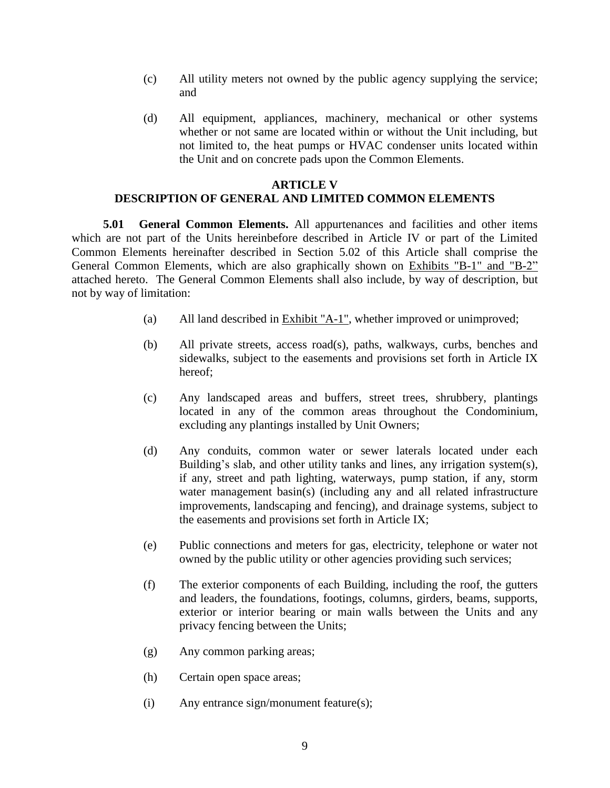- (c) All utility meters not owned by the public agency supplying the service; and
- (d) All equipment, appliances, machinery, mechanical or other systems whether or not same are located within or without the Unit including, but not limited to, the heat pumps or HVAC condenser units located within the Unit and on concrete pads upon the Common Elements.

## **ARTICLE V DESCRIPTION OF GENERAL AND LIMITED COMMON ELEMENTS**

**5.01 General Common Elements.** All appurtenances and facilities and other items which are not part of the Units hereinbefore described in Article IV or part of the Limited Common Elements hereinafter described in Section 5.02 of this Article shall comprise the General Common Elements, which are also graphically shown on Exhibits "B-1" and "B-2" attached hereto. The General Common Elements shall also include, by way of description, but not by way of limitation:

- (a) All land described in Exhibit "A-1", whether improved or unimproved;
- (b) All private streets, access road(s), paths, walkways, curbs, benches and sidewalks, subject to the easements and provisions set forth in Article IX hereof;
- (c) Any landscaped areas and buffers, street trees, shrubbery, plantings located in any of the common areas throughout the Condominium, excluding any plantings installed by Unit Owners;
- (d) Any conduits, common water or sewer laterals located under each Building's slab, and other utility tanks and lines, any irrigation system(s), if any, street and path lighting, waterways, pump station, if any, storm water management basin(s) (including any and all related infrastructure improvements, landscaping and fencing), and drainage systems, subject to the easements and provisions set forth in Article IX;
- (e) Public connections and meters for gas, electricity, telephone or water not owned by the public utility or other agencies providing such services;
- (f) The exterior components of each Building, including the roof, the gutters and leaders, the foundations, footings, columns, girders, beams, supports, exterior or interior bearing or main walls between the Units and any privacy fencing between the Units;
- (g) Any common parking areas;
- (h) Certain open space areas;
- (i) Any entrance sign/monument feature(s);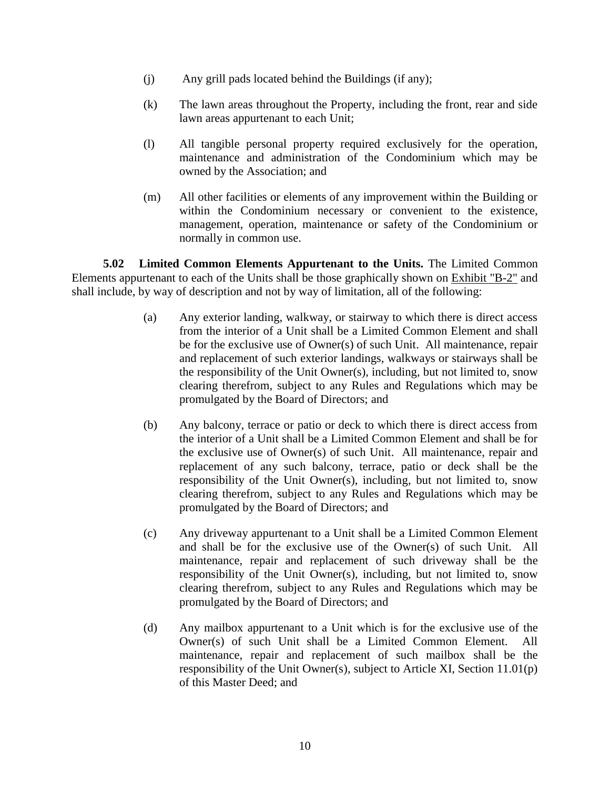- (j) Any grill pads located behind the Buildings (if any);
- (k) The lawn areas throughout the Property, including the front, rear and side lawn areas appurtenant to each Unit;
- (l) All tangible personal property required exclusively for the operation, maintenance and administration of the Condominium which may be owned by the Association; and
- (m) All other facilities or elements of any improvement within the Building or within the Condominium necessary or convenient to the existence, management, operation, maintenance or safety of the Condominium or normally in common use.

**5.02 Limited Common Elements Appurtenant to the Units.** The Limited Common Elements appurtenant to each of the Units shall be those graphically shown on Exhibit "B-2" and shall include, by way of description and not by way of limitation, all of the following:

- (a) Any exterior landing, walkway, or stairway to which there is direct access from the interior of a Unit shall be a Limited Common Element and shall be for the exclusive use of Owner(s) of such Unit. All maintenance, repair and replacement of such exterior landings, walkways or stairways shall be the responsibility of the Unit Owner(s), including, but not limited to, snow clearing therefrom, subject to any Rules and Regulations which may be promulgated by the Board of Directors; and
- (b) Any balcony, terrace or patio or deck to which there is direct access from the interior of a Unit shall be a Limited Common Element and shall be for the exclusive use of Owner(s) of such Unit. All maintenance, repair and replacement of any such balcony, terrace, patio or deck shall be the responsibility of the Unit Owner(s), including, but not limited to, snow clearing therefrom, subject to any Rules and Regulations which may be promulgated by the Board of Directors; and
- (c) Any driveway appurtenant to a Unit shall be a Limited Common Element and shall be for the exclusive use of the Owner(s) of such Unit. All maintenance, repair and replacement of such driveway shall be the responsibility of the Unit Owner(s), including, but not limited to, snow clearing therefrom, subject to any Rules and Regulations which may be promulgated by the Board of Directors; and
- (d) Any mailbox appurtenant to a Unit which is for the exclusive use of the Owner(s) of such Unit shall be a Limited Common Element. All maintenance, repair and replacement of such mailbox shall be the responsibility of the Unit Owner(s), subject to Article XI, Section 11.01(p) of this Master Deed; and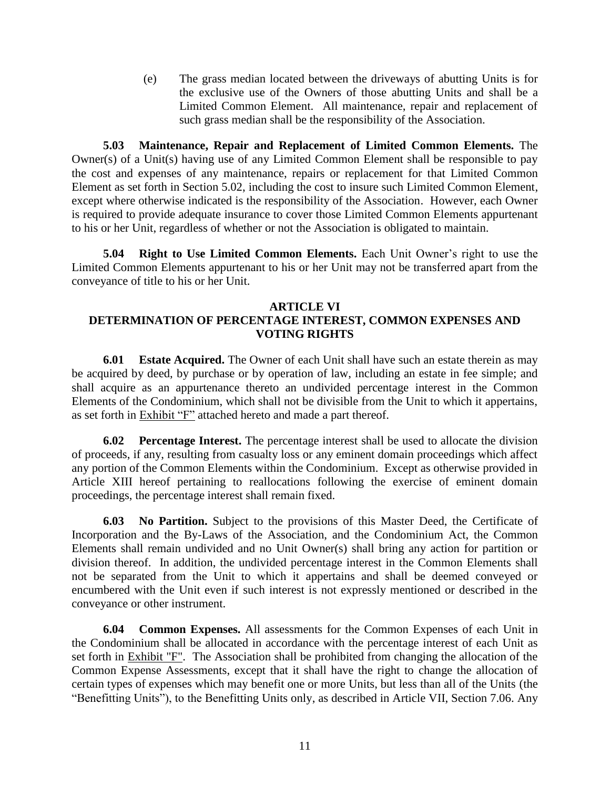(e) The grass median located between the driveways of abutting Units is for the exclusive use of the Owners of those abutting Units and shall be a Limited Common Element. All maintenance, repair and replacement of such grass median shall be the responsibility of the Association.

**5.03 Maintenance, Repair and Replacement of Limited Common Elements.** The Owner(s) of a Unit(s) having use of any Limited Common Element shall be responsible to pay the cost and expenses of any maintenance, repairs or replacement for that Limited Common Element as set forth in Section 5.02, including the cost to insure such Limited Common Element, except where otherwise indicated is the responsibility of the Association. However, each Owner is required to provide adequate insurance to cover those Limited Common Elements appurtenant to his or her Unit, regardless of whether or not the Association is obligated to maintain.

**5.04 Right to Use Limited Common Elements.** Each Unit Owner's right to use the Limited Common Elements appurtenant to his or her Unit may not be transferred apart from the conveyance of title to his or her Unit.

### **ARTICLE VI DETERMINATION OF PERCENTAGE INTEREST, COMMON EXPENSES AND VOTING RIGHTS**

**6.01 Estate Acquired.** The Owner of each Unit shall have such an estate therein as may be acquired by deed, by purchase or by operation of law, including an estate in fee simple; and shall acquire as an appurtenance thereto an undivided percentage interest in the Common Elements of the Condominium, which shall not be divisible from the Unit to which it appertains, as set forth in Exhibit "F" attached hereto and made a part thereof.

**6.02 Percentage Interest.** The percentage interest shall be used to allocate the division of proceeds, if any, resulting from casualty loss or any eminent domain proceedings which affect any portion of the Common Elements within the Condominium. Except as otherwise provided in Article XIII hereof pertaining to reallocations following the exercise of eminent domain proceedings, the percentage interest shall remain fixed.

**6.03 No Partition.** Subject to the provisions of this Master Deed, the Certificate of Incorporation and the By-Laws of the Association, and the Condominium Act, the Common Elements shall remain undivided and no Unit Owner(s) shall bring any action for partition or division thereof. In addition, the undivided percentage interest in the Common Elements shall not be separated from the Unit to which it appertains and shall be deemed conveyed or encumbered with the Unit even if such interest is not expressly mentioned or described in the conveyance or other instrument.

**6.04 Common Expenses.** All assessments for the Common Expenses of each Unit in the Condominium shall be allocated in accordance with the percentage interest of each Unit as set forth in Exhibit "F". The Association shall be prohibited from changing the allocation of the Common Expense Assessments, except that it shall have the right to change the allocation of certain types of expenses which may benefit one or more Units, but less than all of the Units (the "Benefitting Units"), to the Benefitting Units only, as described in Article VII, Section 7.06. Any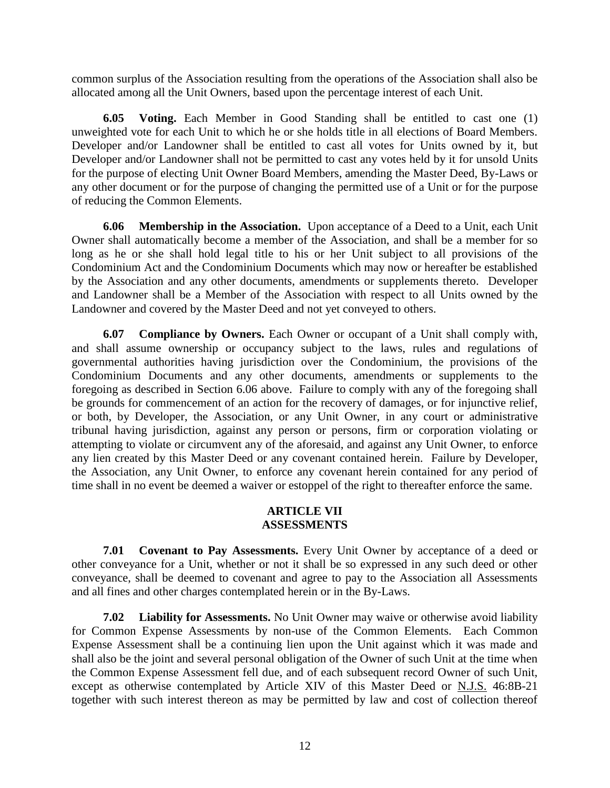common surplus of the Association resulting from the operations of the Association shall also be allocated among all the Unit Owners, based upon the percentage interest of each Unit.

**6.05 Voting.** Each Member in Good Standing shall be entitled to cast one (1) unweighted vote for each Unit to which he or she holds title in all elections of Board Members. Developer and/or Landowner shall be entitled to cast all votes for Units owned by it, but Developer and/or Landowner shall not be permitted to cast any votes held by it for unsold Units for the purpose of electing Unit Owner Board Members, amending the Master Deed, By-Laws or any other document or for the purpose of changing the permitted use of a Unit or for the purpose of reducing the Common Elements.

**6.06 Membership in the Association.** Upon acceptance of a Deed to a Unit, each Unit Owner shall automatically become a member of the Association, and shall be a member for so long as he or she shall hold legal title to his or her Unit subject to all provisions of the Condominium Act and the Condominium Documents which may now or hereafter be established by the Association and any other documents, amendments or supplements thereto. Developer and Landowner shall be a Member of the Association with respect to all Units owned by the Landowner and covered by the Master Deed and not yet conveyed to others.

**6.07 Compliance by Owners.** Each Owner or occupant of a Unit shall comply with, and shall assume ownership or occupancy subject to the laws, rules and regulations of governmental authorities having jurisdiction over the Condominium, the provisions of the Condominium Documents and any other documents, amendments or supplements to the foregoing as described in Section 6.06 above. Failure to comply with any of the foregoing shall be grounds for commencement of an action for the recovery of damages, or for injunctive relief, or both, by Developer, the Association, or any Unit Owner, in any court or administrative tribunal having jurisdiction, against any person or persons, firm or corporation violating or attempting to violate or circumvent any of the aforesaid, and against any Unit Owner, to enforce any lien created by this Master Deed or any covenant contained herein. Failure by Developer, the Association, any Unit Owner, to enforce any covenant herein contained for any period of time shall in no event be deemed a waiver or estoppel of the right to thereafter enforce the same.

#### **ARTICLE VII ASSESSMENTS**

**7.01 Covenant to Pay Assessments.** Every Unit Owner by acceptance of a deed or other conveyance for a Unit, whether or not it shall be so expressed in any such deed or other conveyance, shall be deemed to covenant and agree to pay to the Association all Assessments and all fines and other charges contemplated herein or in the By-Laws.

**7.02 Liability for Assessments.** No Unit Owner may waive or otherwise avoid liability for Common Expense Assessments by non-use of the Common Elements. Each Common Expense Assessment shall be a continuing lien upon the Unit against which it was made and shall also be the joint and several personal obligation of the Owner of such Unit at the time when the Common Expense Assessment fell due, and of each subsequent record Owner of such Unit, except as otherwise contemplated by Article XIV of this Master Deed or N.J.S. 46:8B-21 together with such interest thereon as may be permitted by law and cost of collection thereof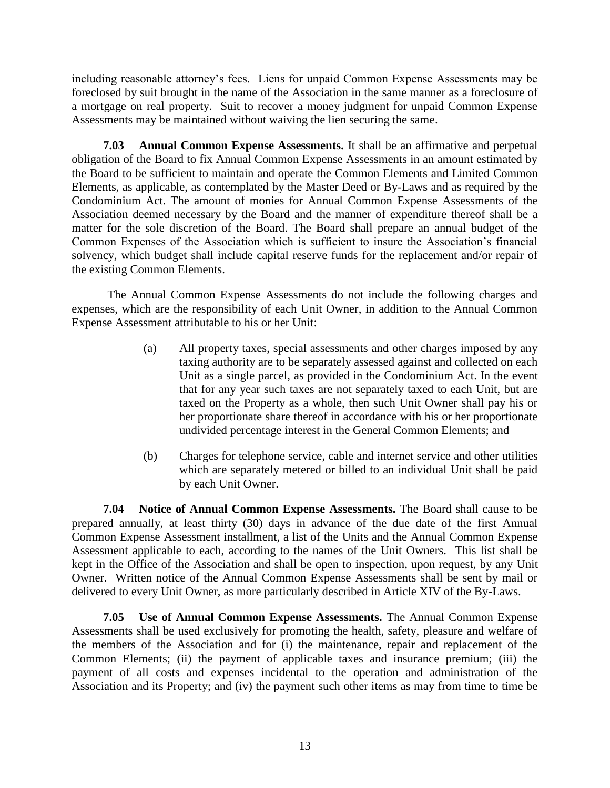including reasonable attorney's fees. Liens for unpaid Common Expense Assessments may be foreclosed by suit brought in the name of the Association in the same manner as a foreclosure of a mortgage on real property. Suit to recover a money judgment for unpaid Common Expense Assessments may be maintained without waiving the lien securing the same.

**7.03 Annual Common Expense Assessments.** It shall be an affirmative and perpetual obligation of the Board to fix Annual Common Expense Assessments in an amount estimated by the Board to be sufficient to maintain and operate the Common Elements and Limited Common Elements, as applicable, as contemplated by the Master Deed or By-Laws and as required by the Condominium Act. The amount of monies for Annual Common Expense Assessments of the Association deemed necessary by the Board and the manner of expenditure thereof shall be a matter for the sole discretion of the Board. The Board shall prepare an annual budget of the Common Expenses of the Association which is sufficient to insure the Association's financial solvency, which budget shall include capital reserve funds for the replacement and/or repair of the existing Common Elements.

The Annual Common Expense Assessments do not include the following charges and expenses, which are the responsibility of each Unit Owner, in addition to the Annual Common Expense Assessment attributable to his or her Unit:

- (a) All property taxes, special assessments and other charges imposed by any taxing authority are to be separately assessed against and collected on each Unit as a single parcel, as provided in the Condominium Act. In the event that for any year such taxes are not separately taxed to each Unit, but are taxed on the Property as a whole, then such Unit Owner shall pay his or her proportionate share thereof in accordance with his or her proportionate undivided percentage interest in the General Common Elements; and
- (b) Charges for telephone service, cable and internet service and other utilities which are separately metered or billed to an individual Unit shall be paid by each Unit Owner.

**7.04 Notice of Annual Common Expense Assessments.** The Board shall cause to be prepared annually, at least thirty (30) days in advance of the due date of the first Annual Common Expense Assessment installment, a list of the Units and the Annual Common Expense Assessment applicable to each, according to the names of the Unit Owners. This list shall be kept in the Office of the Association and shall be open to inspection, upon request, by any Unit Owner. Written notice of the Annual Common Expense Assessments shall be sent by mail or delivered to every Unit Owner, as more particularly described in Article XIV of the By-Laws.

**7.05 Use of Annual Common Expense Assessments.** The Annual Common Expense Assessments shall be used exclusively for promoting the health, safety, pleasure and welfare of the members of the Association and for (i) the maintenance, repair and replacement of the Common Elements; (ii) the payment of applicable taxes and insurance premium; (iii) the payment of all costs and expenses incidental to the operation and administration of the Association and its Property; and (iv) the payment such other items as may from time to time be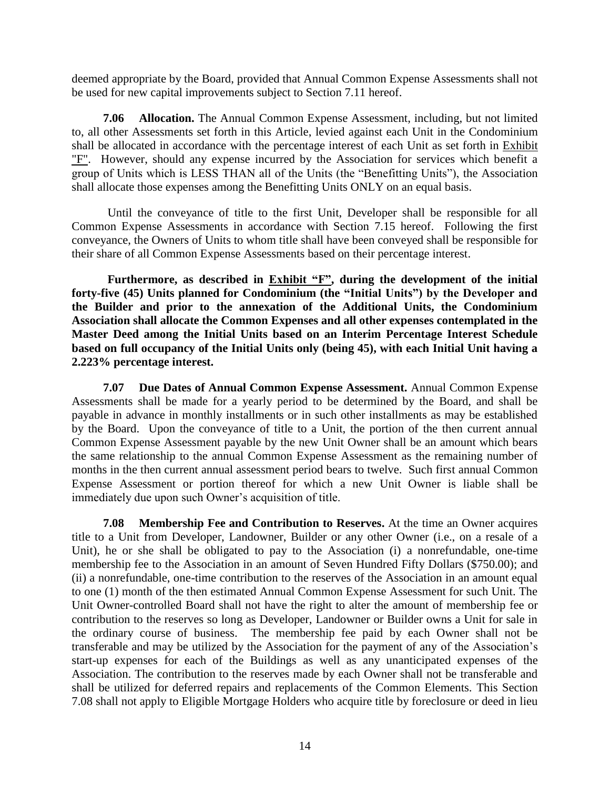deemed appropriate by the Board, provided that Annual Common Expense Assessments shall not be used for new capital improvements subject to Section 7.11 hereof.

**7.06 Allocation.** The Annual Common Expense Assessment, including, but not limited to, all other Assessments set forth in this Article, levied against each Unit in the Condominium shall be allocated in accordance with the percentage interest of each Unit as set forth in Exhibit "F". However, should any expense incurred by the Association for services which benefit a group of Units which is LESS THAN all of the Units (the "Benefitting Units"), the Association shall allocate those expenses among the Benefitting Units ONLY on an equal basis.

Until the conveyance of title to the first Unit, Developer shall be responsible for all Common Expense Assessments in accordance with Section 7.15 hereof. Following the first conveyance, the Owners of Units to whom title shall have been conveyed shall be responsible for their share of all Common Expense Assessments based on their percentage interest.

**Furthermore, as described in Exhibit "F", during the development of the initial forty-five (45) Units planned for Condominium (the "Initial Units") by the Developer and the Builder and prior to the annexation of the Additional Units, the Condominium Association shall allocate the Common Expenses and all other expenses contemplated in the Master Deed among the Initial Units based on an Interim Percentage Interest Schedule based on full occupancy of the Initial Units only (being 45), with each Initial Unit having a 2.223% percentage interest.** 

**7.07 Due Dates of Annual Common Expense Assessment.** Annual Common Expense Assessments shall be made for a yearly period to be determined by the Board, and shall be payable in advance in monthly installments or in such other installments as may be established by the Board. Upon the conveyance of title to a Unit, the portion of the then current annual Common Expense Assessment payable by the new Unit Owner shall be an amount which bears the same relationship to the annual Common Expense Assessment as the remaining number of months in the then current annual assessment period bears to twelve. Such first annual Common Expense Assessment or portion thereof for which a new Unit Owner is liable shall be immediately due upon such Owner's acquisition of title.

**7.08 Membership Fee and Contribution to Reserves.** At the time an Owner acquires title to a Unit from Developer, Landowner, Builder or any other Owner (i.e., on a resale of a Unit), he or she shall be obligated to pay to the Association (i) a nonrefundable, one-time membership fee to the Association in an amount of Seven Hundred Fifty Dollars (\$750.00); and (ii) a nonrefundable, one-time contribution to the reserves of the Association in an amount equal to one (1) month of the then estimated Annual Common Expense Assessment for such Unit. The Unit Owner-controlled Board shall not have the right to alter the amount of membership fee or contribution to the reserves so long as Developer, Landowner or Builder owns a Unit for sale in the ordinary course of business. The membership fee paid by each Owner shall not be transferable and may be utilized by the Association for the payment of any of the Association's start-up expenses for each of the Buildings as well as any unanticipated expenses of the Association. The contribution to the reserves made by each Owner shall not be transferable and shall be utilized for deferred repairs and replacements of the Common Elements. This Section 7.08 shall not apply to Eligible Mortgage Holders who acquire title by foreclosure or deed in lieu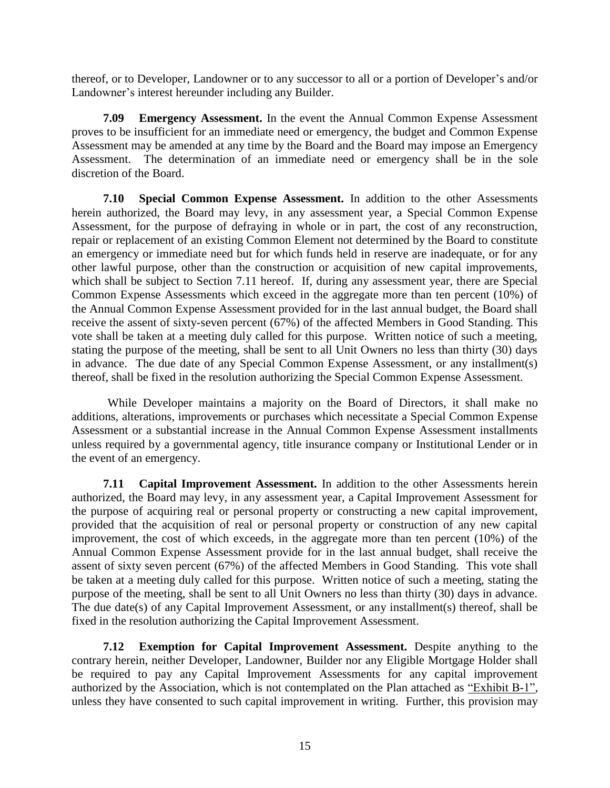thereof, or to Developer, Landowner or to any successor to all or a portion of Developer's and/or Landowner's interest hereunder including any Builder.

**7.09 Emergency Assessment.** In the event the Annual Common Expense Assessment proves to be insufficient for an immediate need or emergency, the budget and Common Expense Assessment may be amended at any time by the Board and the Board may impose an Emergency Assessment. The determination of an immediate need or emergency shall be in the sole discretion of the Board.

**7.10 Special Common Expense Assessment.** In addition to the other Assessments herein authorized, the Board may levy, in any assessment year, a Special Common Expense Assessment, for the purpose of defraying in whole or in part, the cost of any reconstruction, repair or replacement of an existing Common Element not determined by the Board to constitute an emergency or immediate need but for which funds held in reserve are inadequate, or for any other lawful purpose, other than the construction or acquisition of new capital improvements, which shall be subject to Section 7.11 hereof. If, during any assessment year, there are Special Common Expense Assessments which exceed in the aggregate more than ten percent (10%) of the Annual Common Expense Assessment provided for in the last annual budget, the Board shall receive the assent of sixty-seven percent (67%) of the affected Members in Good Standing. This vote shall be taken at a meeting duly called for this purpose. Written notice of such a meeting, stating the purpose of the meeting, shall be sent to all Unit Owners no less than thirty (30) days in advance. The due date of any Special Common Expense Assessment, or any installment(s) thereof, shall be fixed in the resolution authorizing the Special Common Expense Assessment.

While Developer maintains a majority on the Board of Directors, it shall make no additions, alterations, improvements or purchases which necessitate a Special Common Expense Assessment or a substantial increase in the Annual Common Expense Assessment installments unless required by a governmental agency, title insurance company or Institutional Lender or in the event of an emergency.

**7.11 Capital Improvement Assessment.** In addition to the other Assessments herein authorized, the Board may levy, in any assessment year, a Capital Improvement Assessment for the purpose of acquiring real or personal property or constructing a new capital improvement, provided that the acquisition of real or personal property or construction of any new capital improvement, the cost of which exceeds, in the aggregate more than ten percent (10%) of the Annual Common Expense Assessment provide for in the last annual budget, shall receive the assent of sixty seven percent (67%) of the affected Members in Good Standing. This vote shall be taken at a meeting duly called for this purpose. Written notice of such a meeting, stating the purpose of the meeting, shall be sent to all Unit Owners no less than thirty (30) days in advance. The due date(s) of any Capital Improvement Assessment, or any installment(s) thereof, shall be fixed in the resolution authorizing the Capital Improvement Assessment.

**7.12 Exemption for Capital Improvement Assessment.** Despite anything to the contrary herein, neither Developer, Landowner, Builder nor any Eligible Mortgage Holder shall be required to pay any Capital Improvement Assessments for any capital improvement authorized by the Association, which is not contemplated on the Plan attached as "Exhibit B-1", unless they have consented to such capital improvement in writing. Further, this provision may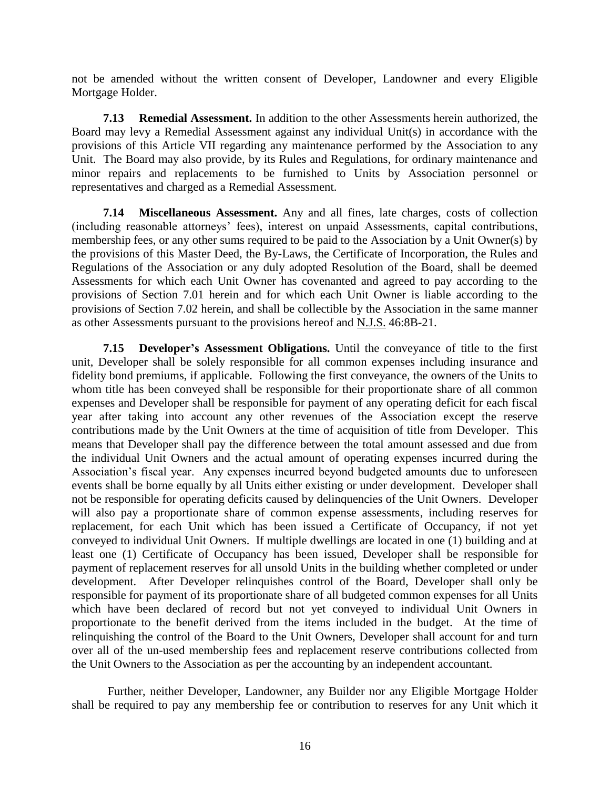not be amended without the written consent of Developer, Landowner and every Eligible Mortgage Holder.

**7.13 Remedial Assessment.** In addition to the other Assessments herein authorized, the Board may levy a Remedial Assessment against any individual Unit(s) in accordance with the provisions of this Article VII regarding any maintenance performed by the Association to any Unit. The Board may also provide, by its Rules and Regulations, for ordinary maintenance and minor repairs and replacements to be furnished to Units by Association personnel or representatives and charged as a Remedial Assessment.

**7.14 Miscellaneous Assessment.** Any and all fines, late charges, costs of collection (including reasonable attorneys' fees), interest on unpaid Assessments, capital contributions, membership fees, or any other sums required to be paid to the Association by a Unit Owner(s) by the provisions of this Master Deed, the By-Laws, the Certificate of Incorporation, the Rules and Regulations of the Association or any duly adopted Resolution of the Board, shall be deemed Assessments for which each Unit Owner has covenanted and agreed to pay according to the provisions of Section 7.01 herein and for which each Unit Owner is liable according to the provisions of Section 7.02 herein, and shall be collectible by the Association in the same manner as other Assessments pursuant to the provisions hereof and N.J.S. 46:8B-21.

**7.15 Developer's Assessment Obligations.** Until the conveyance of title to the first unit, Developer shall be solely responsible for all common expenses including insurance and fidelity bond premiums, if applicable. Following the first conveyance, the owners of the Units to whom title has been conveyed shall be responsible for their proportionate share of all common expenses and Developer shall be responsible for payment of any operating deficit for each fiscal year after taking into account any other revenues of the Association except the reserve contributions made by the Unit Owners at the time of acquisition of title from Developer. This means that Developer shall pay the difference between the total amount assessed and due from the individual Unit Owners and the actual amount of operating expenses incurred during the Association's fiscal year. Any expenses incurred beyond budgeted amounts due to unforeseen events shall be borne equally by all Units either existing or under development. Developer shall not be responsible for operating deficits caused by delinquencies of the Unit Owners. Developer will also pay a proportionate share of common expense assessments, including reserves for replacement, for each Unit which has been issued a Certificate of Occupancy, if not yet conveyed to individual Unit Owners. If multiple dwellings are located in one (1) building and at least one (1) Certificate of Occupancy has been issued, Developer shall be responsible for payment of replacement reserves for all unsold Units in the building whether completed or under development. After Developer relinquishes control of the Board, Developer shall only be responsible for payment of its proportionate share of all budgeted common expenses for all Units which have been declared of record but not yet conveyed to individual Unit Owners in proportionate to the benefit derived from the items included in the budget. At the time of relinquishing the control of the Board to the Unit Owners, Developer shall account for and turn over all of the un-used membership fees and replacement reserve contributions collected from the Unit Owners to the Association as per the accounting by an independent accountant.

Further, neither Developer, Landowner, any Builder nor any Eligible Mortgage Holder shall be required to pay any membership fee or contribution to reserves for any Unit which it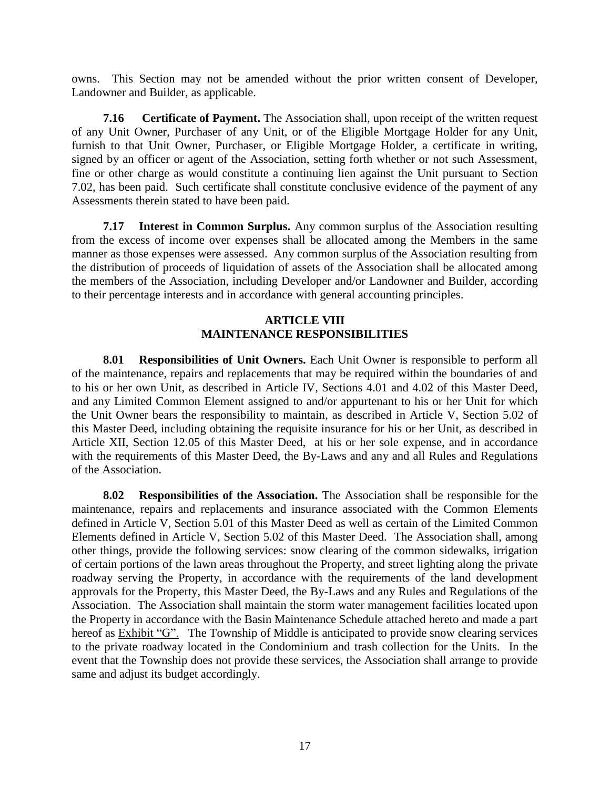owns. This Section may not be amended without the prior written consent of Developer, Landowner and Builder, as applicable.

**7.16 Certificate of Payment.** The Association shall, upon receipt of the written request of any Unit Owner, Purchaser of any Unit, or of the Eligible Mortgage Holder for any Unit, furnish to that Unit Owner, Purchaser, or Eligible Mortgage Holder, a certificate in writing, signed by an officer or agent of the Association, setting forth whether or not such Assessment, fine or other charge as would constitute a continuing lien against the Unit pursuant to Section 7.02, has been paid. Such certificate shall constitute conclusive evidence of the payment of any Assessments therein stated to have been paid.

**7.17 Interest in Common Surplus.** Any common surplus of the Association resulting from the excess of income over expenses shall be allocated among the Members in the same manner as those expenses were assessed. Any common surplus of the Association resulting from the distribution of proceeds of liquidation of assets of the Association shall be allocated among the members of the Association, including Developer and/or Landowner and Builder, according to their percentage interests and in accordance with general accounting principles.

## **ARTICLE VIII MAINTENANCE RESPONSIBILITIES**

**8.01 Responsibilities of Unit Owners.** Each Unit Owner is responsible to perform all of the maintenance, repairs and replacements that may be required within the boundaries of and to his or her own Unit, as described in Article IV, Sections 4.01 and 4.02 of this Master Deed, and any Limited Common Element assigned to and/or appurtenant to his or her Unit for which the Unit Owner bears the responsibility to maintain, as described in Article V, Section 5.02 of this Master Deed, including obtaining the requisite insurance for his or her Unit, as described in Article XII, Section 12.05 of this Master Deed, at his or her sole expense, and in accordance with the requirements of this Master Deed, the By-Laws and any and all Rules and Regulations of the Association.

**8.02 Responsibilities of the Association.** The Association shall be responsible for the maintenance, repairs and replacements and insurance associated with the Common Elements defined in Article V, Section 5.01 of this Master Deed as well as certain of the Limited Common Elements defined in Article V, Section 5.02 of this Master Deed. The Association shall, among other things, provide the following services: snow clearing of the common sidewalks, irrigation of certain portions of the lawn areas throughout the Property, and street lighting along the private roadway serving the Property, in accordance with the requirements of the land development approvals for the Property, this Master Deed, the By-Laws and any Rules and Regulations of the Association. The Association shall maintain the storm water management facilities located upon the Property in accordance with the Basin Maintenance Schedule attached hereto and made a part hereof as Exhibit "G". The Township of Middle is anticipated to provide snow clearing services to the private roadway located in the Condominium and trash collection for the Units. In the event that the Township does not provide these services, the Association shall arrange to provide same and adjust its budget accordingly.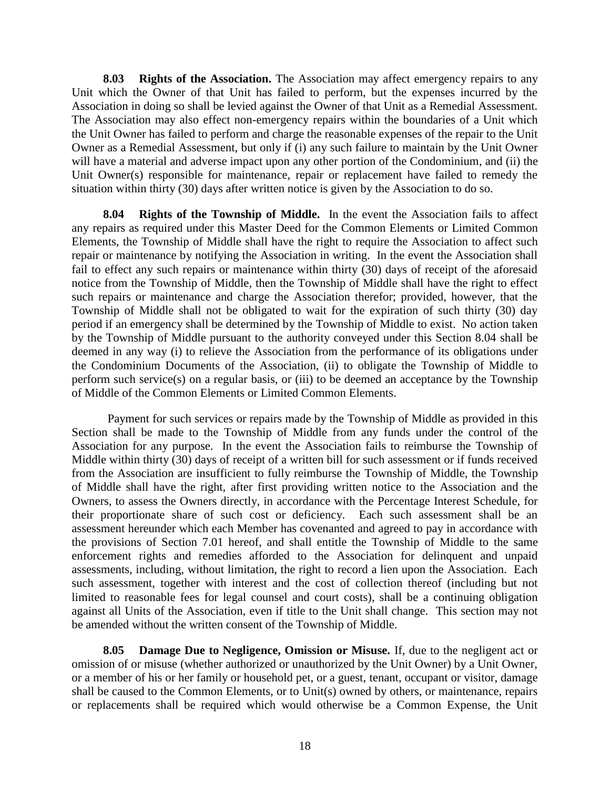**8.03 Rights of the Association.** The Association may affect emergency repairs to any Unit which the Owner of that Unit has failed to perform, but the expenses incurred by the Association in doing so shall be levied against the Owner of that Unit as a Remedial Assessment. The Association may also effect non-emergency repairs within the boundaries of a Unit which the Unit Owner has failed to perform and charge the reasonable expenses of the repair to the Unit Owner as a Remedial Assessment, but only if (i) any such failure to maintain by the Unit Owner will have a material and adverse impact upon any other portion of the Condominium, and (ii) the Unit Owner(s) responsible for maintenance, repair or replacement have failed to remedy the situation within thirty (30) days after written notice is given by the Association to do so.

**8.04 Rights of the Township of Middle.** In the event the Association fails to affect any repairs as required under this Master Deed for the Common Elements or Limited Common Elements, the Township of Middle shall have the right to require the Association to affect such repair or maintenance by notifying the Association in writing. In the event the Association shall fail to effect any such repairs or maintenance within thirty (30) days of receipt of the aforesaid notice from the Township of Middle, then the Township of Middle shall have the right to effect such repairs or maintenance and charge the Association therefor; provided, however, that the Township of Middle shall not be obligated to wait for the expiration of such thirty (30) day period if an emergency shall be determined by the Township of Middle to exist. No action taken by the Township of Middle pursuant to the authority conveyed under this Section 8.04 shall be deemed in any way (i) to relieve the Association from the performance of its obligations under the Condominium Documents of the Association, (ii) to obligate the Township of Middle to perform such service(s) on a regular basis, or (iii) to be deemed an acceptance by the Township of Middle of the Common Elements or Limited Common Elements.

Payment for such services or repairs made by the Township of Middle as provided in this Section shall be made to the Township of Middle from any funds under the control of the Association for any purpose. In the event the Association fails to reimburse the Township of Middle within thirty (30) days of receipt of a written bill for such assessment or if funds received from the Association are insufficient to fully reimburse the Township of Middle, the Township of Middle shall have the right, after first providing written notice to the Association and the Owners, to assess the Owners directly, in accordance with the Percentage Interest Schedule, for their proportionate share of such cost or deficiency. Each such assessment shall be an assessment hereunder which each Member has covenanted and agreed to pay in accordance with the provisions of Section 7.01 hereof, and shall entitle the Township of Middle to the same enforcement rights and remedies afforded to the Association for delinquent and unpaid assessments, including, without limitation, the right to record a lien upon the Association. Each such assessment, together with interest and the cost of collection thereof (including but not limited to reasonable fees for legal counsel and court costs), shall be a continuing obligation against all Units of the Association, even if title to the Unit shall change. This section may not be amended without the written consent of the Township of Middle.

**8.05 Damage Due to Negligence, Omission or Misuse.** If, due to the negligent act or omission of or misuse (whether authorized or unauthorized by the Unit Owner) by a Unit Owner, or a member of his or her family or household pet, or a guest, tenant, occupant or visitor, damage shall be caused to the Common Elements, or to Unit(s) owned by others, or maintenance, repairs or replacements shall be required which would otherwise be a Common Expense, the Unit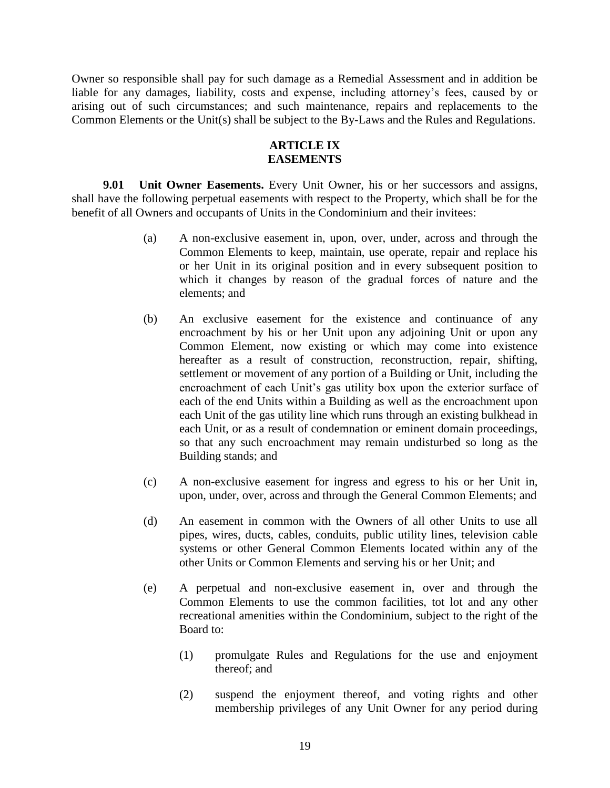Owner so responsible shall pay for such damage as a Remedial Assessment and in addition be liable for any damages, liability, costs and expense, including attorney's fees, caused by or arising out of such circumstances; and such maintenance, repairs and replacements to the Common Elements or the Unit(s) shall be subject to the By-Laws and the Rules and Regulations.

### **ARTICLE IX EASEMENTS**

**9.01 Unit Owner Easements.** Every Unit Owner, his or her successors and assigns, shall have the following perpetual easements with respect to the Property, which shall be for the benefit of all Owners and occupants of Units in the Condominium and their invitees:

- (a) A non-exclusive easement in, upon, over, under, across and through the Common Elements to keep, maintain, use operate, repair and replace his or her Unit in its original position and in every subsequent position to which it changes by reason of the gradual forces of nature and the elements; and
- (b) An exclusive easement for the existence and continuance of any encroachment by his or her Unit upon any adjoining Unit or upon any Common Element, now existing or which may come into existence hereafter as a result of construction, reconstruction, repair, shifting, settlement or movement of any portion of a Building or Unit, including the encroachment of each Unit's gas utility box upon the exterior surface of each of the end Units within a Building as well as the encroachment upon each Unit of the gas utility line which runs through an existing bulkhead in each Unit, or as a result of condemnation or eminent domain proceedings, so that any such encroachment may remain undisturbed so long as the Building stands; and
- (c) A non-exclusive easement for ingress and egress to his or her Unit in, upon, under, over, across and through the General Common Elements; and
- (d) An easement in common with the Owners of all other Units to use all pipes, wires, ducts, cables, conduits, public utility lines, television cable systems or other General Common Elements located within any of the other Units or Common Elements and serving his or her Unit; and
- (e) A perpetual and non-exclusive easement in, over and through the Common Elements to use the common facilities, tot lot and any other recreational amenities within the Condominium, subject to the right of the Board to:
	- (1) promulgate Rules and Regulations for the use and enjoyment thereof; and
	- (2) suspend the enjoyment thereof, and voting rights and other membership privileges of any Unit Owner for any period during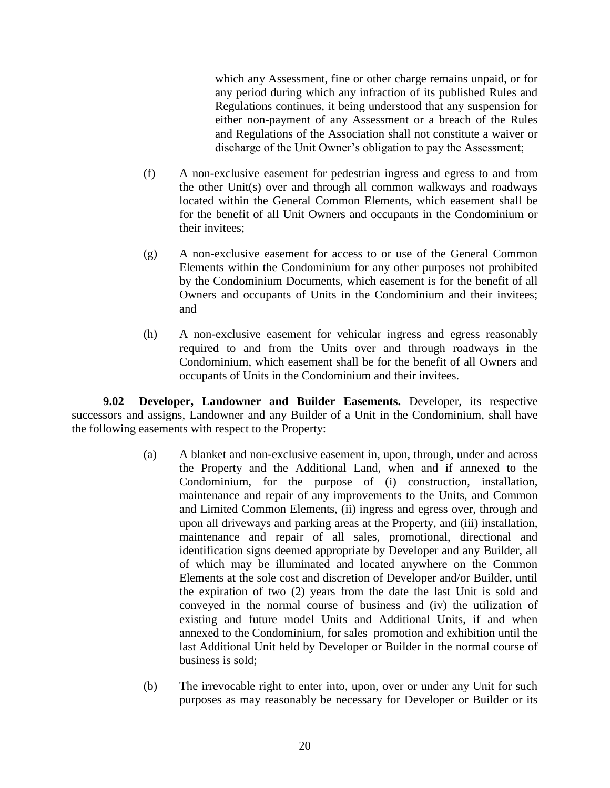which any Assessment, fine or other charge remains unpaid, or for any period during which any infraction of its published Rules and Regulations continues, it being understood that any suspension for either non-payment of any Assessment or a breach of the Rules and Regulations of the Association shall not constitute a waiver or discharge of the Unit Owner's obligation to pay the Assessment;

- (f) A non-exclusive easement for pedestrian ingress and egress to and from the other Unit(s) over and through all common walkways and roadways located within the General Common Elements, which easement shall be for the benefit of all Unit Owners and occupants in the Condominium or their invitees;
- (g) A non-exclusive easement for access to or use of the General Common Elements within the Condominium for any other purposes not prohibited by the Condominium Documents, which easement is for the benefit of all Owners and occupants of Units in the Condominium and their invitees; and
- (h) A non-exclusive easement for vehicular ingress and egress reasonably required to and from the Units over and through roadways in the Condominium, which easement shall be for the benefit of all Owners and occupants of Units in the Condominium and their invitees.

**9.02 Developer, Landowner and Builder Easements.** Developer, its respective successors and assigns, Landowner and any Builder of a Unit in the Condominium, shall have the following easements with respect to the Property:

- (a) A blanket and non-exclusive easement in, upon, through, under and across the Property and the Additional Land, when and if annexed to the Condominium, for the purpose of (i) construction, installation, maintenance and repair of any improvements to the Units, and Common and Limited Common Elements, (ii) ingress and egress over, through and upon all driveways and parking areas at the Property, and (iii) installation, maintenance and repair of all sales, promotional, directional and identification signs deemed appropriate by Developer and any Builder, all of which may be illuminated and located anywhere on the Common Elements at the sole cost and discretion of Developer and/or Builder, until the expiration of two (2) years from the date the last Unit is sold and conveyed in the normal course of business and (iv) the utilization of existing and future model Units and Additional Units, if and when annexed to the Condominium, for sales promotion and exhibition until the last Additional Unit held by Developer or Builder in the normal course of business is sold;
- (b) The irrevocable right to enter into, upon, over or under any Unit for such purposes as may reasonably be necessary for Developer or Builder or its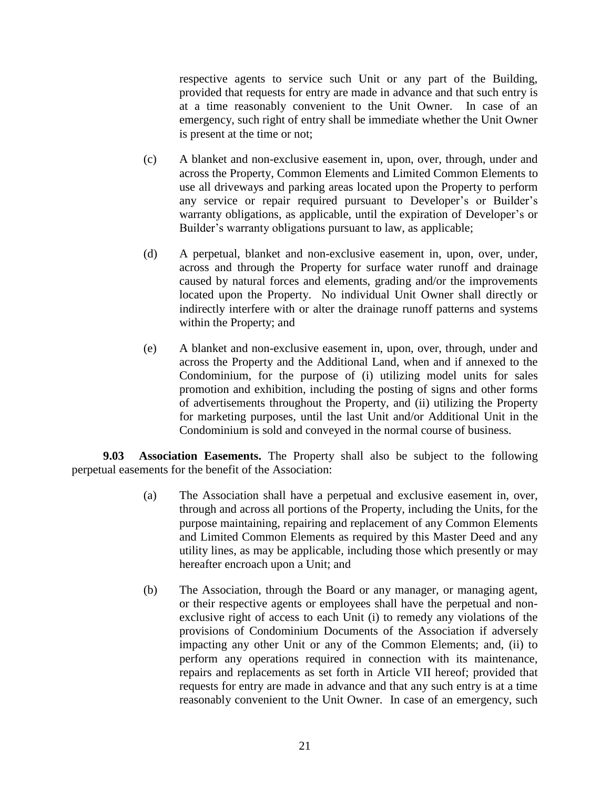respective agents to service such Unit or any part of the Building, provided that requests for entry are made in advance and that such entry is at a time reasonably convenient to the Unit Owner. In case of an emergency, such right of entry shall be immediate whether the Unit Owner is present at the time or not;

- (c) A blanket and non-exclusive easement in, upon, over, through, under and across the Property, Common Elements and Limited Common Elements to use all driveways and parking areas located upon the Property to perform any service or repair required pursuant to Developer's or Builder's warranty obligations, as applicable, until the expiration of Developer's or Builder's warranty obligations pursuant to law, as applicable;
- (d) A perpetual, blanket and non-exclusive easement in, upon, over, under, across and through the Property for surface water runoff and drainage caused by natural forces and elements, grading and/or the improvements located upon the Property. No individual Unit Owner shall directly or indirectly interfere with or alter the drainage runoff patterns and systems within the Property; and
- (e) A blanket and non-exclusive easement in, upon, over, through, under and across the Property and the Additional Land, when and if annexed to the Condominium, for the purpose of (i) utilizing model units for sales promotion and exhibition, including the posting of signs and other forms of advertisements throughout the Property, and (ii) utilizing the Property for marketing purposes, until the last Unit and/or Additional Unit in the Condominium is sold and conveyed in the normal course of business.

**9.03 Association Easements.** The Property shall also be subject to the following perpetual easements for the benefit of the Association:

- (a) The Association shall have a perpetual and exclusive easement in, over, through and across all portions of the Property, including the Units, for the purpose maintaining, repairing and replacement of any Common Elements and Limited Common Elements as required by this Master Deed and any utility lines, as may be applicable, including those which presently or may hereafter encroach upon a Unit; and
- (b) The Association, through the Board or any manager, or managing agent, or their respective agents or employees shall have the perpetual and nonexclusive right of access to each Unit (i) to remedy any violations of the provisions of Condominium Documents of the Association if adversely impacting any other Unit or any of the Common Elements; and, (ii) to perform any operations required in connection with its maintenance, repairs and replacements as set forth in Article VII hereof; provided that requests for entry are made in advance and that any such entry is at a time reasonably convenient to the Unit Owner. In case of an emergency, such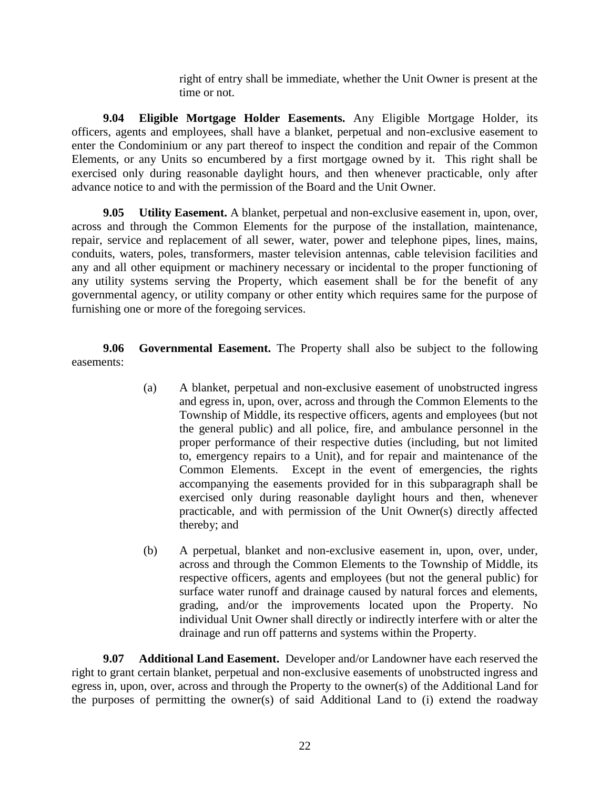right of entry shall be immediate, whether the Unit Owner is present at the time or not.

**9.04 Eligible Mortgage Holder Easements.** Any Eligible Mortgage Holder, its officers, agents and employees, shall have a blanket, perpetual and non-exclusive easement to enter the Condominium or any part thereof to inspect the condition and repair of the Common Elements, or any Units so encumbered by a first mortgage owned by it. This right shall be exercised only during reasonable daylight hours, and then whenever practicable, only after advance notice to and with the permission of the Board and the Unit Owner.

**9.05 Utility Easement.** A blanket, perpetual and non-exclusive easement in, upon, over, across and through the Common Elements for the purpose of the installation, maintenance, repair, service and replacement of all sewer, water, power and telephone pipes, lines, mains, conduits, waters, poles, transformers, master television antennas, cable television facilities and any and all other equipment or machinery necessary or incidental to the proper functioning of any utility systems serving the Property, which easement shall be for the benefit of any governmental agency, or utility company or other entity which requires same for the purpose of furnishing one or more of the foregoing services.

**9.06 Governmental Easement.** The Property shall also be subject to the following easements:

- (a) A blanket, perpetual and non-exclusive easement of unobstructed ingress and egress in, upon, over, across and through the Common Elements to the Township of Middle, its respective officers, agents and employees (but not the general public) and all police, fire, and ambulance personnel in the proper performance of their respective duties (including, but not limited to, emergency repairs to a Unit), and for repair and maintenance of the Common Elements. Except in the event of emergencies, the rights accompanying the easements provided for in this subparagraph shall be exercised only during reasonable daylight hours and then, whenever practicable, and with permission of the Unit Owner(s) directly affected thereby; and
- (b) A perpetual, blanket and non-exclusive easement in, upon, over, under, across and through the Common Elements to the Township of Middle, its respective officers, agents and employees (but not the general public) for surface water runoff and drainage caused by natural forces and elements, grading, and/or the improvements located upon the Property. No individual Unit Owner shall directly or indirectly interfere with or alter the drainage and run off patterns and systems within the Property.

**9.07 Additional Land Easement.** Developer and/or Landowner have each reserved the right to grant certain blanket, perpetual and non-exclusive easements of unobstructed ingress and egress in, upon, over, across and through the Property to the owner(s) of the Additional Land for the purposes of permitting the owner(s) of said Additional Land to (i) extend the roadway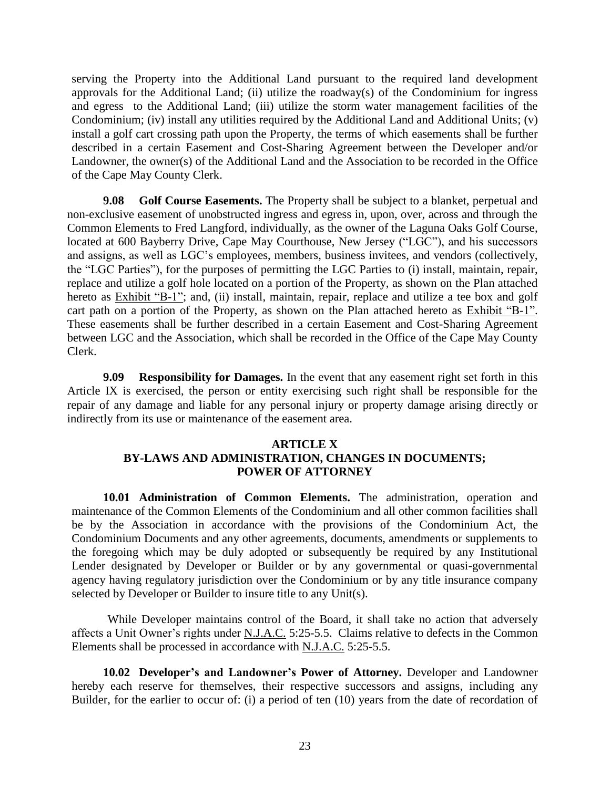serving the Property into the Additional Land pursuant to the required land development approvals for the Additional Land; (ii) utilize the roadway(s) of the Condominium for ingress and egress to the Additional Land; (iii) utilize the storm water management facilities of the Condominium; (iv) install any utilities required by the Additional Land and Additional Units; (v) install a golf cart crossing path upon the Property, the terms of which easements shall be further described in a certain Easement and Cost-Sharing Agreement between the Developer and/or Landowner, the owner(s) of the Additional Land and the Association to be recorded in the Office of the Cape May County Clerk.

**9.08 Golf Course Easements.** The Property shall be subject to a blanket, perpetual and non-exclusive easement of unobstructed ingress and egress in, upon, over, across and through the Common Elements to Fred Langford, individually, as the owner of the Laguna Oaks Golf Course, located at 600 Bayberry Drive, Cape May Courthouse, New Jersey ("LGC"), and his successors and assigns, as well as LGC's employees, members, business invitees, and vendors (collectively, the "LGC Parties"), for the purposes of permitting the LGC Parties to (i) install, maintain, repair, replace and utilize a golf hole located on a portion of the Property, as shown on the Plan attached hereto as Exhibit "B-1"; and, (ii) install, maintain, repair, replace and utilize a tee box and golf cart path on a portion of the Property, as shown on the Plan attached hereto as Exhibit "B-1". These easements shall be further described in a certain Easement and Cost-Sharing Agreement between LGC and the Association, which shall be recorded in the Office of the Cape May County Clerk.

**9.09 Responsibility for Damages.** In the event that any easement right set forth in this Article IX is exercised, the person or entity exercising such right shall be responsible for the repair of any damage and liable for any personal injury or property damage arising directly or indirectly from its use or maintenance of the easement area.

### **ARTICLE X BY-LAWS AND ADMINISTRATION, CHANGES IN DOCUMENTS; POWER OF ATTORNEY**

**10.01 Administration of Common Elements.** The administration, operation and maintenance of the Common Elements of the Condominium and all other common facilities shall be by the Association in accordance with the provisions of the Condominium Act, the Condominium Documents and any other agreements, documents, amendments or supplements to the foregoing which may be duly adopted or subsequently be required by any Institutional Lender designated by Developer or Builder or by any governmental or quasi-governmental agency having regulatory jurisdiction over the Condominium or by any title insurance company selected by Developer or Builder to insure title to any Unit(s).

While Developer maintains control of the Board, it shall take no action that adversely affects a Unit Owner's rights under N.J.A.C. 5:25-5.5. Claims relative to defects in the Common Elements shall be processed in accordance with N.J.A.C. 5:25-5.5.

**10.02 Developer's and Landowner's Power of Attorney.** Developer and Landowner hereby each reserve for themselves, their respective successors and assigns, including any Builder, for the earlier to occur of: (i) a period of ten (10) years from the date of recordation of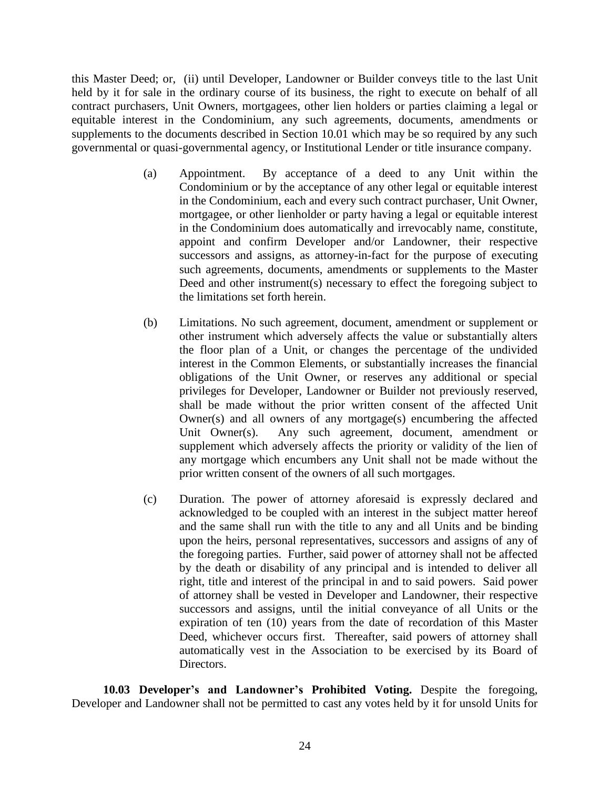this Master Deed; or, (ii) until Developer, Landowner or Builder conveys title to the last Unit held by it for sale in the ordinary course of its business, the right to execute on behalf of all contract purchasers, Unit Owners, mortgagees, other lien holders or parties claiming a legal or equitable interest in the Condominium, any such agreements, documents, amendments or supplements to the documents described in Section 10.01 which may be so required by any such governmental or quasi-governmental agency, or Institutional Lender or title insurance company.

- (a) Appointment. By acceptance of a deed to any Unit within the Condominium or by the acceptance of any other legal or equitable interest in the Condominium, each and every such contract purchaser, Unit Owner, mortgagee, or other lienholder or party having a legal or equitable interest in the Condominium does automatically and irrevocably name, constitute, appoint and confirm Developer and/or Landowner, their respective successors and assigns, as attorney-in-fact for the purpose of executing such agreements, documents, amendments or supplements to the Master Deed and other instrument(s) necessary to effect the foregoing subject to the limitations set forth herein.
- (b) Limitations. No such agreement, document, amendment or supplement or other instrument which adversely affects the value or substantially alters the floor plan of a Unit, or changes the percentage of the undivided interest in the Common Elements, or substantially increases the financial obligations of the Unit Owner, or reserves any additional or special privileges for Developer, Landowner or Builder not previously reserved, shall be made without the prior written consent of the affected Unit Owner(s) and all owners of any mortgage(s) encumbering the affected Unit Owner(s). Any such agreement, document, amendment or supplement which adversely affects the priority or validity of the lien of any mortgage which encumbers any Unit shall not be made without the prior written consent of the owners of all such mortgages.
- (c) Duration. The power of attorney aforesaid is expressly declared and acknowledged to be coupled with an interest in the subject matter hereof and the same shall run with the title to any and all Units and be binding upon the heirs, personal representatives, successors and assigns of any of the foregoing parties. Further, said power of attorney shall not be affected by the death or disability of any principal and is intended to deliver all right, title and interest of the principal in and to said powers. Said power of attorney shall be vested in Developer and Landowner, their respective successors and assigns, until the initial conveyance of all Units or the expiration of ten (10) years from the date of recordation of this Master Deed, whichever occurs first. Thereafter, said powers of attorney shall automatically vest in the Association to be exercised by its Board of Directors.

**10.03 Developer's and Landowner's Prohibited Voting.** Despite the foregoing, Developer and Landowner shall not be permitted to cast any votes held by it for unsold Units for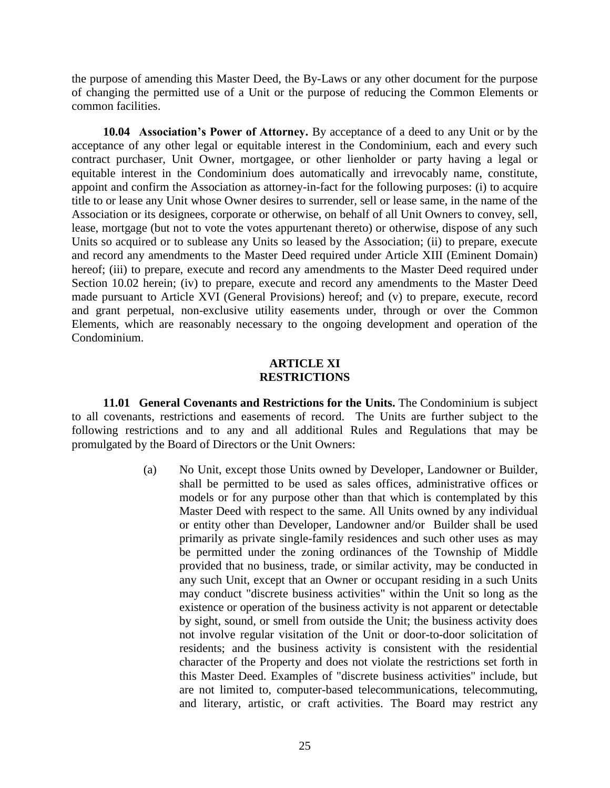the purpose of amending this Master Deed, the By-Laws or any other document for the purpose of changing the permitted use of a Unit or the purpose of reducing the Common Elements or common facilities.

**10.04 Association's Power of Attorney.** By acceptance of a deed to any Unit or by the acceptance of any other legal or equitable interest in the Condominium, each and every such contract purchaser, Unit Owner, mortgagee, or other lienholder or party having a legal or equitable interest in the Condominium does automatically and irrevocably name, constitute, appoint and confirm the Association as attorney-in-fact for the following purposes: (i) to acquire title to or lease any Unit whose Owner desires to surrender, sell or lease same, in the name of the Association or its designees, corporate or otherwise, on behalf of all Unit Owners to convey, sell, lease, mortgage (but not to vote the votes appurtenant thereto) or otherwise, dispose of any such Units so acquired or to sublease any Units so leased by the Association; (ii) to prepare, execute and record any amendments to the Master Deed required under Article XIII (Eminent Domain) hereof; (iii) to prepare, execute and record any amendments to the Master Deed required under Section 10.02 herein; (iv) to prepare, execute and record any amendments to the Master Deed made pursuant to Article XVI (General Provisions) hereof; and (v) to prepare, execute, record and grant perpetual, non-exclusive utility easements under, through or over the Common Elements, which are reasonably necessary to the ongoing development and operation of the Condominium.

### **ARTICLE XI RESTRICTIONS**

**11.01 General Covenants and Restrictions for the Units.** The Condominium is subject to all covenants, restrictions and easements of record. The Units are further subject to the following restrictions and to any and all additional Rules and Regulations that may be promulgated by the Board of Directors or the Unit Owners:

> (a) No Unit, except those Units owned by Developer, Landowner or Builder, shall be permitted to be used as sales offices, administrative offices or models or for any purpose other than that which is contemplated by this Master Deed with respect to the same. All Units owned by any individual or entity other than Developer, Landowner and/or Builder shall be used primarily as private single-family residences and such other uses as may be permitted under the zoning ordinances of the Township of Middle provided that no business, trade, or similar activity, may be conducted in any such Unit, except that an Owner or occupant residing in a such Units may conduct "discrete business activities" within the Unit so long as the existence or operation of the business activity is not apparent or detectable by sight, sound, or smell from outside the Unit; the business activity does not involve regular visitation of the Unit or door-to-door solicitation of residents; and the business activity is consistent with the residential character of the Property and does not violate the restrictions set forth in this Master Deed. Examples of "discrete business activities" include, but are not limited to, computer-based telecommunications, telecommuting, and literary, artistic, or craft activities. The Board may restrict any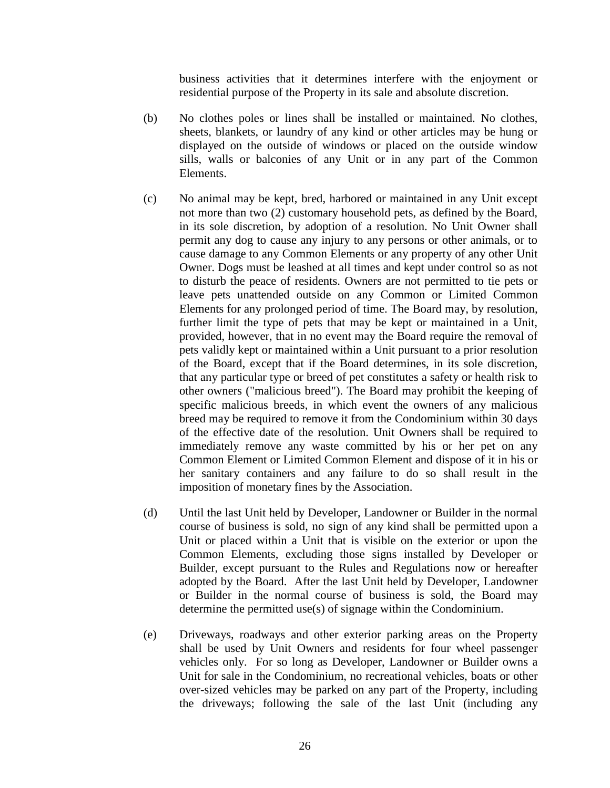business activities that it determines interfere with the enjoyment or residential purpose of the Property in its sale and absolute discretion.

- (b) No clothes poles or lines shall be installed or maintained. No clothes, sheets, blankets, or laundry of any kind or other articles may be hung or displayed on the outside of windows or placed on the outside window sills, walls or balconies of any Unit or in any part of the Common Elements.
- (c) No animal may be kept, bred, harbored or maintained in any Unit except not more than two (2) customary household pets, as defined by the Board, in its sole discretion, by adoption of a resolution. No Unit Owner shall permit any dog to cause any injury to any persons or other animals, or to cause damage to any Common Elements or any property of any other Unit Owner. Dogs must be leashed at all times and kept under control so as not to disturb the peace of residents. Owners are not permitted to tie pets or leave pets unattended outside on any Common or Limited Common Elements for any prolonged period of time. The Board may, by resolution, further limit the type of pets that may be kept or maintained in a Unit, provided, however, that in no event may the Board require the removal of pets validly kept or maintained within a Unit pursuant to a prior resolution of the Board, except that if the Board determines, in its sole discretion, that any particular type or breed of pet constitutes a safety or health risk to other owners ("malicious breed"). The Board may prohibit the keeping of specific malicious breeds, in which event the owners of any malicious breed may be required to remove it from the Condominium within 30 days of the effective date of the resolution. Unit Owners shall be required to immediately remove any waste committed by his or her pet on any Common Element or Limited Common Element and dispose of it in his or her sanitary containers and any failure to do so shall result in the imposition of monetary fines by the Association.
- (d) Until the last Unit held by Developer, Landowner or Builder in the normal course of business is sold, no sign of any kind shall be permitted upon a Unit or placed within a Unit that is visible on the exterior or upon the Common Elements, excluding those signs installed by Developer or Builder, except pursuant to the Rules and Regulations now or hereafter adopted by the Board. After the last Unit held by Developer, Landowner or Builder in the normal course of business is sold, the Board may determine the permitted use(s) of signage within the Condominium.
- (e) Driveways, roadways and other exterior parking areas on the Property shall be used by Unit Owners and residents for four wheel passenger vehicles only. For so long as Developer, Landowner or Builder owns a Unit for sale in the Condominium, no recreational vehicles, boats or other over-sized vehicles may be parked on any part of the Property, including the driveways; following the sale of the last Unit (including any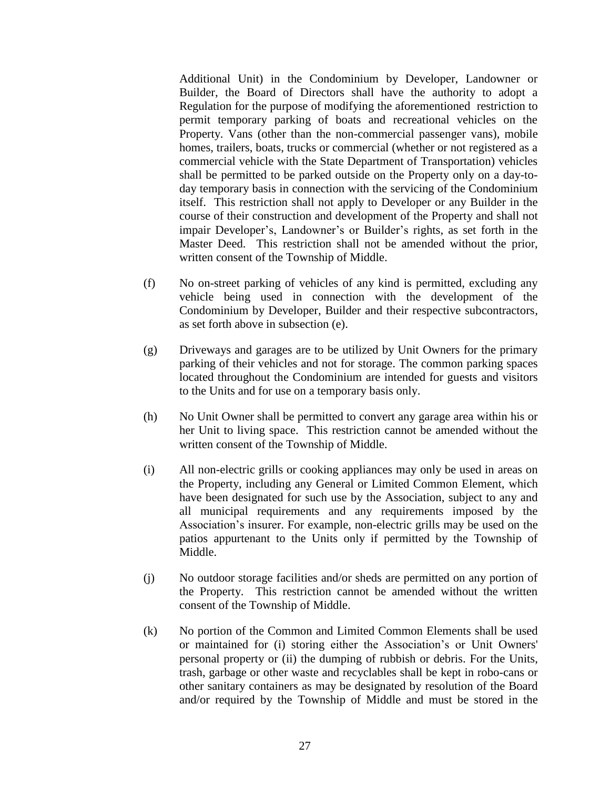Additional Unit) in the Condominium by Developer, Landowner or Builder, the Board of Directors shall have the authority to adopt a Regulation for the purpose of modifying the aforementioned restriction to permit temporary parking of boats and recreational vehicles on the Property. Vans (other than the non-commercial passenger vans), mobile homes, trailers, boats, trucks or commercial (whether or not registered as a commercial vehicle with the State Department of Transportation) vehicles shall be permitted to be parked outside on the Property only on a day-today temporary basis in connection with the servicing of the Condominium itself. This restriction shall not apply to Developer or any Builder in the course of their construction and development of the Property and shall not impair Developer's, Landowner's or Builder's rights, as set forth in the Master Deed. This restriction shall not be amended without the prior, written consent of the Township of Middle.

- (f) No on-street parking of vehicles of any kind is permitted, excluding any vehicle being used in connection with the development of the Condominium by Developer, Builder and their respective subcontractors, as set forth above in subsection (e).
- (g) Driveways and garages are to be utilized by Unit Owners for the primary parking of their vehicles and not for storage. The common parking spaces located throughout the Condominium are intended for guests and visitors to the Units and for use on a temporary basis only.
- (h) No Unit Owner shall be permitted to convert any garage area within his or her Unit to living space. This restriction cannot be amended without the written consent of the Township of Middle.
- (i) All non-electric grills or cooking appliances may only be used in areas on the Property, including any General or Limited Common Element, which have been designated for such use by the Association, subject to any and all municipal requirements and any requirements imposed by the Association's insurer. For example, non-electric grills may be used on the patios appurtenant to the Units only if permitted by the Township of Middle.
- (j) No outdoor storage facilities and/or sheds are permitted on any portion of the Property. This restriction cannot be amended without the written consent of the Township of Middle.
- (k) No portion of the Common and Limited Common Elements shall be used or maintained for (i) storing either the Association's or Unit Owners' personal property or (ii) the dumping of rubbish or debris. For the Units, trash, garbage or other waste and recyclables shall be kept in robo-cans or other sanitary containers as may be designated by resolution of the Board and/or required by the Township of Middle and must be stored in the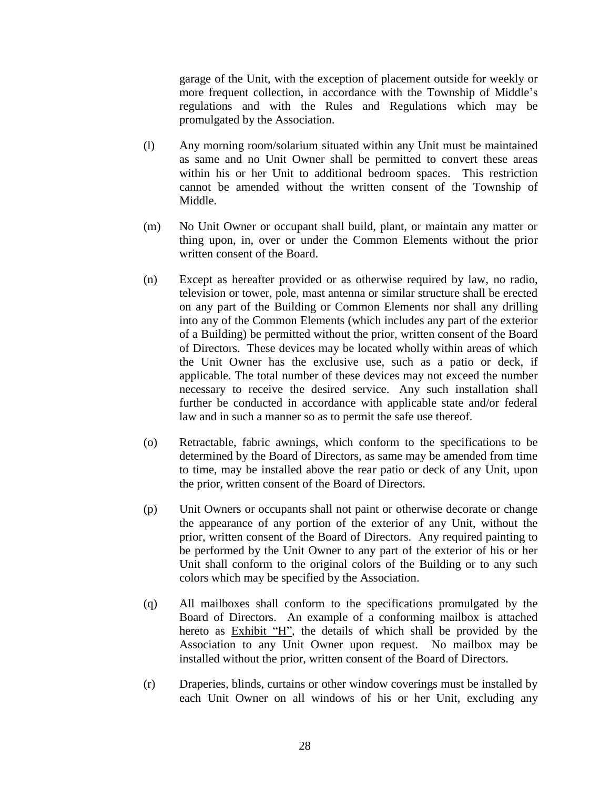garage of the Unit, with the exception of placement outside for weekly or more frequent collection, in accordance with the Township of Middle's regulations and with the Rules and Regulations which may be promulgated by the Association.

- (l) Any morning room/solarium situated within any Unit must be maintained as same and no Unit Owner shall be permitted to convert these areas within his or her Unit to additional bedroom spaces. This restriction cannot be amended without the written consent of the Township of Middle.
- (m) No Unit Owner or occupant shall build, plant, or maintain any matter or thing upon, in, over or under the Common Elements without the prior written consent of the Board.
- (n) Except as hereafter provided or as otherwise required by law, no radio, television or tower, pole, mast antenna or similar structure shall be erected on any part of the Building or Common Elements nor shall any drilling into any of the Common Elements (which includes any part of the exterior of a Building) be permitted without the prior, written consent of the Board of Directors. These devices may be located wholly within areas of which the Unit Owner has the exclusive use, such as a patio or deck, if applicable. The total number of these devices may not exceed the number necessary to receive the desired service. Any such installation shall further be conducted in accordance with applicable state and/or federal law and in such a manner so as to permit the safe use thereof.
- (o) Retractable, fabric awnings, which conform to the specifications to be determined by the Board of Directors, as same may be amended from time to time, may be installed above the rear patio or deck of any Unit, upon the prior, written consent of the Board of Directors.
- (p) Unit Owners or occupants shall not paint or otherwise decorate or change the appearance of any portion of the exterior of any Unit, without the prior, written consent of the Board of Directors. Any required painting to be performed by the Unit Owner to any part of the exterior of his or her Unit shall conform to the original colors of the Building or to any such colors which may be specified by the Association.
- (q) All mailboxes shall conform to the specifications promulgated by the Board of Directors. An example of a conforming mailbox is attached hereto as **Exhibit "H"**, the details of which shall be provided by the Association to any Unit Owner upon request. No mailbox may be installed without the prior, written consent of the Board of Directors.
- (r) Draperies, blinds, curtains or other window coverings must be installed by each Unit Owner on all windows of his or her Unit, excluding any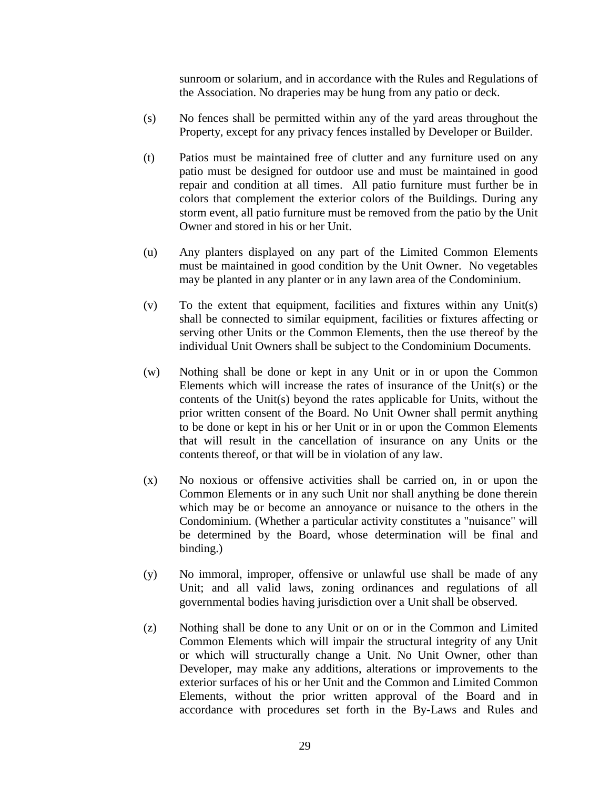sunroom or solarium, and in accordance with the Rules and Regulations of the Association. No draperies may be hung from any patio or deck.

- (s) No fences shall be permitted within any of the yard areas throughout the Property, except for any privacy fences installed by Developer or Builder.
- (t) Patios must be maintained free of clutter and any furniture used on any patio must be designed for outdoor use and must be maintained in good repair and condition at all times. All patio furniture must further be in colors that complement the exterior colors of the Buildings. During any storm event, all patio furniture must be removed from the patio by the Unit Owner and stored in his or her Unit.
- (u) Any planters displayed on any part of the Limited Common Elements must be maintained in good condition by the Unit Owner. No vegetables may be planted in any planter or in any lawn area of the Condominium.
- (v) To the extent that equipment, facilities and fixtures within any Unit(s) shall be connected to similar equipment, facilities or fixtures affecting or serving other Units or the Common Elements, then the use thereof by the individual Unit Owners shall be subject to the Condominium Documents.
- (w) Nothing shall be done or kept in any Unit or in or upon the Common Elements which will increase the rates of insurance of the Unit(s) or the contents of the Unit(s) beyond the rates applicable for Units, without the prior written consent of the Board. No Unit Owner shall permit anything to be done or kept in his or her Unit or in or upon the Common Elements that will result in the cancellation of insurance on any Units or the contents thereof, or that will be in violation of any law.
- (x) No noxious or offensive activities shall be carried on, in or upon the Common Elements or in any such Unit nor shall anything be done therein which may be or become an annoyance or nuisance to the others in the Condominium. (Whether a particular activity constitutes a "nuisance" will be determined by the Board, whose determination will be final and binding.)
- (y) No immoral, improper, offensive or unlawful use shall be made of any Unit; and all valid laws, zoning ordinances and regulations of all governmental bodies having jurisdiction over a Unit shall be observed.
- (z) Nothing shall be done to any Unit or on or in the Common and Limited Common Elements which will impair the structural integrity of any Unit or which will structurally change a Unit. No Unit Owner, other than Developer, may make any additions, alterations or improvements to the exterior surfaces of his or her Unit and the Common and Limited Common Elements, without the prior written approval of the Board and in accordance with procedures set forth in the By-Laws and Rules and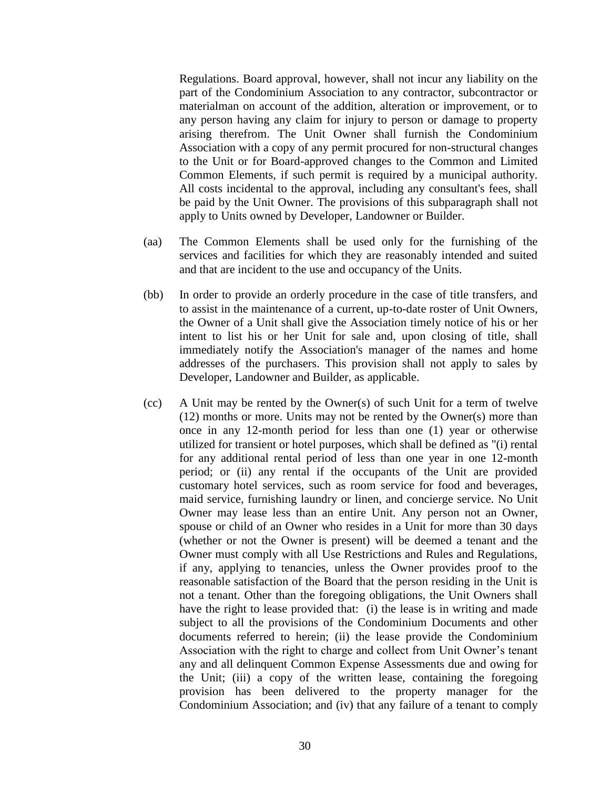Regulations. Board approval, however, shall not incur any liability on the part of the Condominium Association to any contractor, subcontractor or materialman on account of the addition, alteration or improvement, or to any person having any claim for injury to person or damage to property arising therefrom. The Unit Owner shall furnish the Condominium Association with a copy of any permit procured for non-structural changes to the Unit or for Board-approved changes to the Common and Limited Common Elements, if such permit is required by a municipal authority. All costs incidental to the approval, including any consultant's fees, shall be paid by the Unit Owner. The provisions of this subparagraph shall not apply to Units owned by Developer, Landowner or Builder.

- (aa) The Common Elements shall be used only for the furnishing of the services and facilities for which they are reasonably intended and suited and that are incident to the use and occupancy of the Units.
- (bb) In order to provide an orderly procedure in the case of title transfers, and to assist in the maintenance of a current, up-to-date roster of Unit Owners, the Owner of a Unit shall give the Association timely notice of his or her intent to list his or her Unit for sale and, upon closing of title, shall immediately notify the Association's manager of the names and home addresses of the purchasers. This provision shall not apply to sales by Developer, Landowner and Builder, as applicable.
- (cc) A Unit may be rented by the Owner(s) of such Unit for a term of twelve (12) months or more. Units may not be rented by the Owner(s) more than once in any 12-month period for less than one (1) year or otherwise utilized for transient or hotel purposes, which shall be defined as "(i) rental for any additional rental period of less than one year in one 12-month period; or (ii) any rental if the occupants of the Unit are provided customary hotel services, such as room service for food and beverages, maid service, furnishing laundry or linen, and concierge service. No Unit Owner may lease less than an entire Unit. Any person not an Owner, spouse or child of an Owner who resides in a Unit for more than 30 days (whether or not the Owner is present) will be deemed a tenant and the Owner must comply with all Use Restrictions and Rules and Regulations, if any, applying to tenancies, unless the Owner provides proof to the reasonable satisfaction of the Board that the person residing in the Unit is not a tenant. Other than the foregoing obligations, the Unit Owners shall have the right to lease provided that: (i) the lease is in writing and made subject to all the provisions of the Condominium Documents and other documents referred to herein; (ii) the lease provide the Condominium Association with the right to charge and collect from Unit Owner's tenant any and all delinquent Common Expense Assessments due and owing for the Unit; (iii) a copy of the written lease, containing the foregoing provision has been delivered to the property manager for the Condominium Association; and (iv) that any failure of a tenant to comply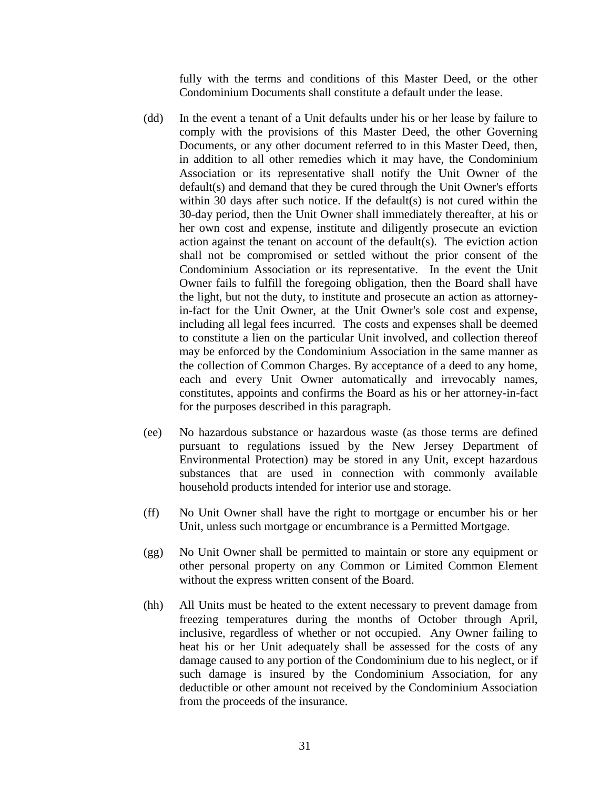fully with the terms and conditions of this Master Deed, or the other Condominium Documents shall constitute a default under the lease.

- (dd) In the event a tenant of a Unit defaults under his or her lease by failure to comply with the provisions of this Master Deed, the other Governing Documents, or any other document referred to in this Master Deed, then, in addition to all other remedies which it may have, the Condominium Association or its representative shall notify the Unit Owner of the default(s) and demand that they be cured through the Unit Owner's efforts within 30 days after such notice. If the default(s) is not cured within the 30-day period, then the Unit Owner shall immediately thereafter, at his or her own cost and expense, institute and diligently prosecute an eviction action against the tenant on account of the default(s). The eviction action shall not be compromised or settled without the prior consent of the Condominium Association or its representative. In the event the Unit Owner fails to fulfill the foregoing obligation, then the Board shall have the light, but not the duty, to institute and prosecute an action as attorneyin-fact for the Unit Owner, at the Unit Owner's sole cost and expense, including all legal fees incurred. The costs and expenses shall be deemed to constitute a lien on the particular Unit involved, and collection thereof may be enforced by the Condominium Association in the same manner as the collection of Common Charges. By acceptance of a deed to any home, each and every Unit Owner automatically and irrevocably names, constitutes, appoints and confirms the Board as his or her attorney-in-fact for the purposes described in this paragraph.
- (ee) No hazardous substance or hazardous waste (as those terms are defined pursuant to regulations issued by the New Jersey Department of Environmental Protection) may be stored in any Unit, except hazardous substances that are used in connection with commonly available household products intended for interior use and storage.
- (ff) No Unit Owner shall have the right to mortgage or encumber his or her Unit, unless such mortgage or encumbrance is a Permitted Mortgage.
- (gg) No Unit Owner shall be permitted to maintain or store any equipment or other personal property on any Common or Limited Common Element without the express written consent of the Board.
- (hh) All Units must be heated to the extent necessary to prevent damage from freezing temperatures during the months of October through April, inclusive, regardless of whether or not occupied. Any Owner failing to heat his or her Unit adequately shall be assessed for the costs of any damage caused to any portion of the Condominium due to his neglect, or if such damage is insured by the Condominium Association, for any deductible or other amount not received by the Condominium Association from the proceeds of the insurance.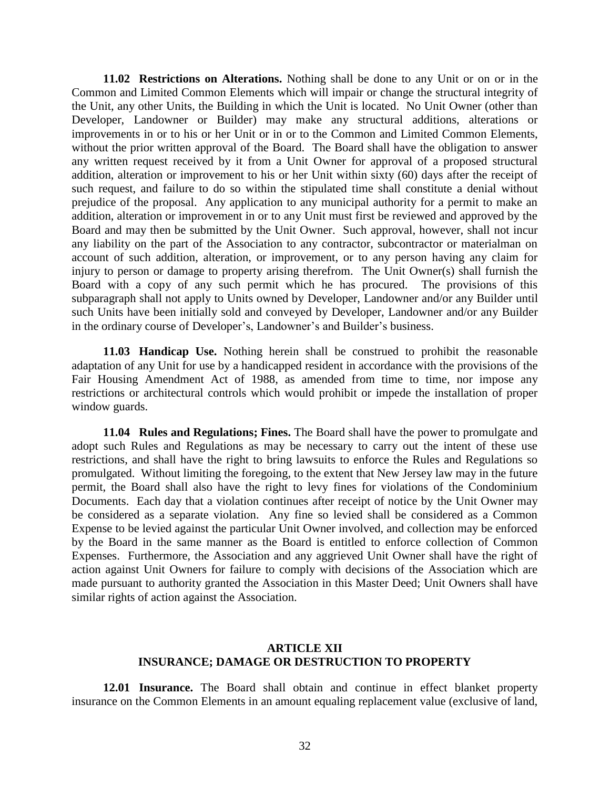**11.02 Restrictions on Alterations.** Nothing shall be done to any Unit or on or in the Common and Limited Common Elements which will impair or change the structural integrity of the Unit, any other Units, the Building in which the Unit is located. No Unit Owner (other than Developer, Landowner or Builder) may make any structural additions, alterations or improvements in or to his or her Unit or in or to the Common and Limited Common Elements, without the prior written approval of the Board. The Board shall have the obligation to answer any written request received by it from a Unit Owner for approval of a proposed structural addition, alteration or improvement to his or her Unit within sixty (60) days after the receipt of such request, and failure to do so within the stipulated time shall constitute a denial without prejudice of the proposal. Any application to any municipal authority for a permit to make an addition, alteration or improvement in or to any Unit must first be reviewed and approved by the Board and may then be submitted by the Unit Owner. Such approval, however, shall not incur any liability on the part of the Association to any contractor, subcontractor or materialman on account of such addition, alteration, or improvement, or to any person having any claim for injury to person or damage to property arising therefrom. The Unit Owner(s) shall furnish the Board with a copy of any such permit which he has procured. The provisions of this subparagraph shall not apply to Units owned by Developer, Landowner and/or any Builder until such Units have been initially sold and conveyed by Developer, Landowner and/or any Builder in the ordinary course of Developer's, Landowner's and Builder's business.

**11.03 Handicap Use.** Nothing herein shall be construed to prohibit the reasonable adaptation of any Unit for use by a handicapped resident in accordance with the provisions of the Fair Housing Amendment Act of 1988, as amended from time to time, nor impose any restrictions or architectural controls which would prohibit or impede the installation of proper window guards.

**11.04 Rules and Regulations; Fines.** The Board shall have the power to promulgate and adopt such Rules and Regulations as may be necessary to carry out the intent of these use restrictions, and shall have the right to bring lawsuits to enforce the Rules and Regulations so promulgated. Without limiting the foregoing, to the extent that New Jersey law may in the future permit, the Board shall also have the right to levy fines for violations of the Condominium Documents. Each day that a violation continues after receipt of notice by the Unit Owner may be considered as a separate violation. Any fine so levied shall be considered as a Common Expense to be levied against the particular Unit Owner involved, and collection may be enforced by the Board in the same manner as the Board is entitled to enforce collection of Common Expenses. Furthermore, the Association and any aggrieved Unit Owner shall have the right of action against Unit Owners for failure to comply with decisions of the Association which are made pursuant to authority granted the Association in this Master Deed; Unit Owners shall have similar rights of action against the Association.

### **ARTICLE XII INSURANCE; DAMAGE OR DESTRUCTION TO PROPERTY**

**12.01 Insurance.** The Board shall obtain and continue in effect blanket property insurance on the Common Elements in an amount equaling replacement value (exclusive of land,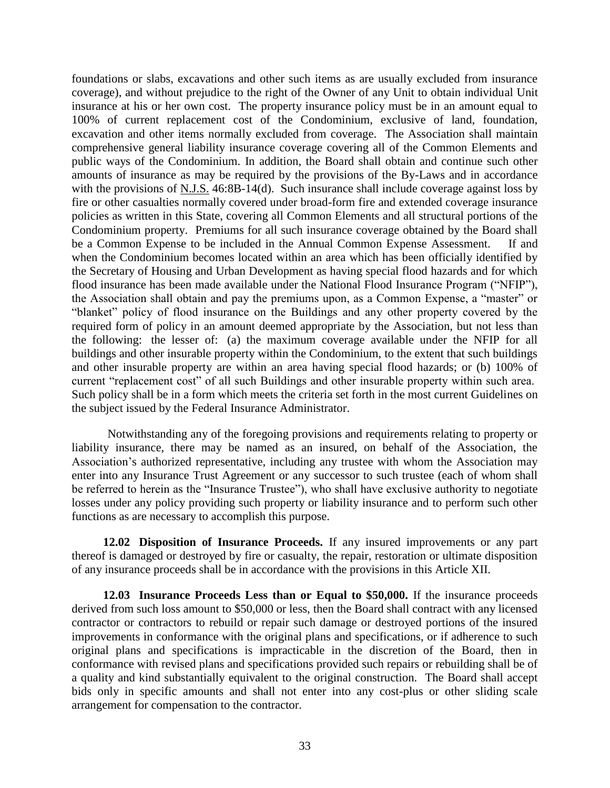foundations or slabs, excavations and other such items as are usually excluded from insurance coverage), and without prejudice to the right of the Owner of any Unit to obtain individual Unit insurance at his or her own cost. The property insurance policy must be in an amount equal to 100% of current replacement cost of the Condominium, exclusive of land, foundation, excavation and other items normally excluded from coverage. The Association shall maintain comprehensive general liability insurance coverage covering all of the Common Elements and public ways of the Condominium. In addition, the Board shall obtain and continue such other amounts of insurance as may be required by the provisions of the By-Laws and in accordance with the provisions of N.J.S. 46:8B-14(d). Such insurance shall include coverage against loss by fire or other casualties normally covered under broad-form fire and extended coverage insurance policies as written in this State, covering all Common Elements and all structural portions of the Condominium property. Premiums for all such insurance coverage obtained by the Board shall be a Common Expense to be included in the Annual Common Expense Assessment. If and when the Condominium becomes located within an area which has been officially identified by the Secretary of Housing and Urban Development as having special flood hazards and for which flood insurance has been made available under the National Flood Insurance Program ("NFIP"), the Association shall obtain and pay the premiums upon, as a Common Expense, a "master" or "blanket" policy of flood insurance on the Buildings and any other property covered by the required form of policy in an amount deemed appropriate by the Association, but not less than the following: the lesser of: (a) the maximum coverage available under the NFIP for all buildings and other insurable property within the Condominium, to the extent that such buildings and other insurable property are within an area having special flood hazards; or (b) 100% of current "replacement cost" of all such Buildings and other insurable property within such area. Such policy shall be in a form which meets the criteria set forth in the most current Guidelines on the subject issued by the Federal Insurance Administrator.

Notwithstanding any of the foregoing provisions and requirements relating to property or liability insurance, there may be named as an insured, on behalf of the Association, the Association's authorized representative, including any trustee with whom the Association may enter into any Insurance Trust Agreement or any successor to such trustee (each of whom shall be referred to herein as the "Insurance Trustee"), who shall have exclusive authority to negotiate losses under any policy providing such property or liability insurance and to perform such other functions as are necessary to accomplish this purpose.

**12.02 Disposition of Insurance Proceeds.** If any insured improvements or any part thereof is damaged or destroyed by fire or casualty, the repair, restoration or ultimate disposition of any insurance proceeds shall be in accordance with the provisions in this Article XII.

**12.03 Insurance Proceeds Less than or Equal to \$50,000.** If the insurance proceeds derived from such loss amount to \$50,000 or less, then the Board shall contract with any licensed contractor or contractors to rebuild or repair such damage or destroyed portions of the insured improvements in conformance with the original plans and specifications, or if adherence to such original plans and specifications is impracticable in the discretion of the Board, then in conformance with revised plans and specifications provided such repairs or rebuilding shall be of a quality and kind substantially equivalent to the original construction. The Board shall accept bids only in specific amounts and shall not enter into any cost-plus or other sliding scale arrangement for compensation to the contractor.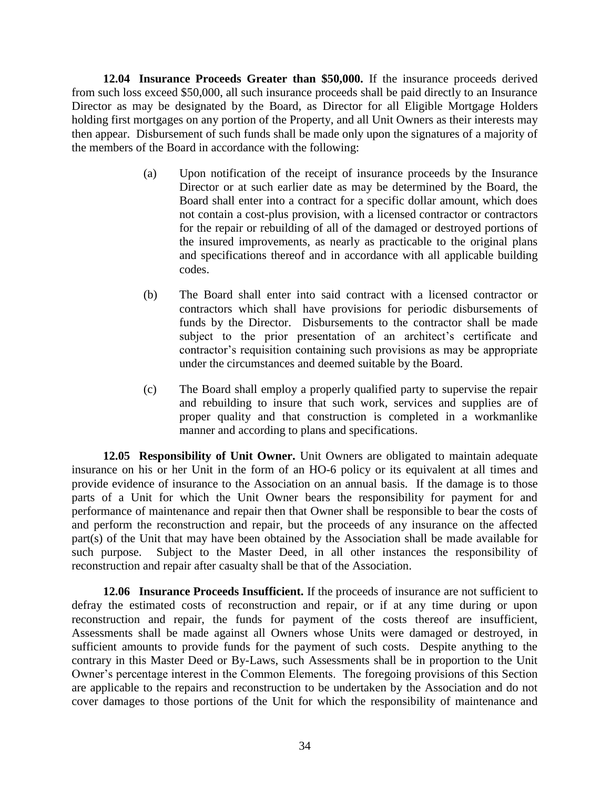**12.04 Insurance Proceeds Greater than \$50,000.** If the insurance proceeds derived from such loss exceed \$50,000, all such insurance proceeds shall be paid directly to an Insurance Director as may be designated by the Board, as Director for all Eligible Mortgage Holders holding first mortgages on any portion of the Property, and all Unit Owners as their interests may then appear. Disbursement of such funds shall be made only upon the signatures of a majority of the members of the Board in accordance with the following:

- (a) Upon notification of the receipt of insurance proceeds by the Insurance Director or at such earlier date as may be determined by the Board, the Board shall enter into a contract for a specific dollar amount, which does not contain a cost-plus provision, with a licensed contractor or contractors for the repair or rebuilding of all of the damaged or destroyed portions of the insured improvements, as nearly as practicable to the original plans and specifications thereof and in accordance with all applicable building codes.
- (b) The Board shall enter into said contract with a licensed contractor or contractors which shall have provisions for periodic disbursements of funds by the Director. Disbursements to the contractor shall be made subject to the prior presentation of an architect's certificate and contractor's requisition containing such provisions as may be appropriate under the circumstances and deemed suitable by the Board.
- (c) The Board shall employ a properly qualified party to supervise the repair and rebuilding to insure that such work, services and supplies are of proper quality and that construction is completed in a workmanlike manner and according to plans and specifications.

**12.05 Responsibility of Unit Owner.** Unit Owners are obligated to maintain adequate insurance on his or her Unit in the form of an HO-6 policy or its equivalent at all times and provide evidence of insurance to the Association on an annual basis. If the damage is to those parts of a Unit for which the Unit Owner bears the responsibility for payment for and performance of maintenance and repair then that Owner shall be responsible to bear the costs of and perform the reconstruction and repair, but the proceeds of any insurance on the affected part(s) of the Unit that may have been obtained by the Association shall be made available for such purpose. Subject to the Master Deed, in all other instances the responsibility of reconstruction and repair after casualty shall be that of the Association.

**12.06 Insurance Proceeds Insufficient.** If the proceeds of insurance are not sufficient to defray the estimated costs of reconstruction and repair, or if at any time during or upon reconstruction and repair, the funds for payment of the costs thereof are insufficient, Assessments shall be made against all Owners whose Units were damaged or destroyed, in sufficient amounts to provide funds for the payment of such costs. Despite anything to the contrary in this Master Deed or By-Laws, such Assessments shall be in proportion to the Unit Owner's percentage interest in the Common Elements. The foregoing provisions of this Section are applicable to the repairs and reconstruction to be undertaken by the Association and do not cover damages to those portions of the Unit for which the responsibility of maintenance and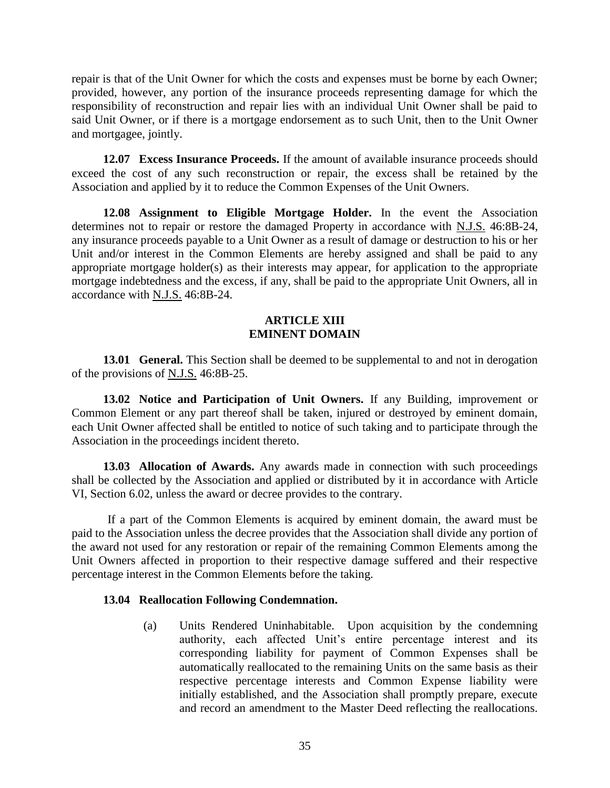repair is that of the Unit Owner for which the costs and expenses must be borne by each Owner; provided, however, any portion of the insurance proceeds representing damage for which the responsibility of reconstruction and repair lies with an individual Unit Owner shall be paid to said Unit Owner, or if there is a mortgage endorsement as to such Unit, then to the Unit Owner and mortgagee, jointly.

**12.07 Excess Insurance Proceeds.** If the amount of available insurance proceeds should exceed the cost of any such reconstruction or repair, the excess shall be retained by the Association and applied by it to reduce the Common Expenses of the Unit Owners.

**12.08 Assignment to Eligible Mortgage Holder.** In the event the Association determines not to repair or restore the damaged Property in accordance with N.J.S. 46:8B-24, any insurance proceeds payable to a Unit Owner as a result of damage or destruction to his or her Unit and/or interest in the Common Elements are hereby assigned and shall be paid to any appropriate mortgage holder(s) as their interests may appear, for application to the appropriate mortgage indebtedness and the excess, if any, shall be paid to the appropriate Unit Owners, all in accordance with N.J.S. 46:8B-24.

#### **ARTICLE XIII EMINENT DOMAIN**

**13.01 General.** This Section shall be deemed to be supplemental to and not in derogation of the provisions of N.J.S. 46:8B-25.

**13.02 Notice and Participation of Unit Owners.** If any Building, improvement or Common Element or any part thereof shall be taken, injured or destroyed by eminent domain, each Unit Owner affected shall be entitled to notice of such taking and to participate through the Association in the proceedings incident thereto.

**13.03 Allocation of Awards.** Any awards made in connection with such proceedings shall be collected by the Association and applied or distributed by it in accordance with Article VI, Section 6.02, unless the award or decree provides to the contrary.

If a part of the Common Elements is acquired by eminent domain, the award must be paid to the Association unless the decree provides that the Association shall divide any portion of the award not used for any restoration or repair of the remaining Common Elements among the Unit Owners affected in proportion to their respective damage suffered and their respective percentage interest in the Common Elements before the taking.

### **13.04 Reallocation Following Condemnation.**

(a) Units Rendered Uninhabitable. Upon acquisition by the condemning authority, each affected Unit's entire percentage interest and its corresponding liability for payment of Common Expenses shall be automatically reallocated to the remaining Units on the same basis as their respective percentage interests and Common Expense liability were initially established, and the Association shall promptly prepare, execute and record an amendment to the Master Deed reflecting the reallocations.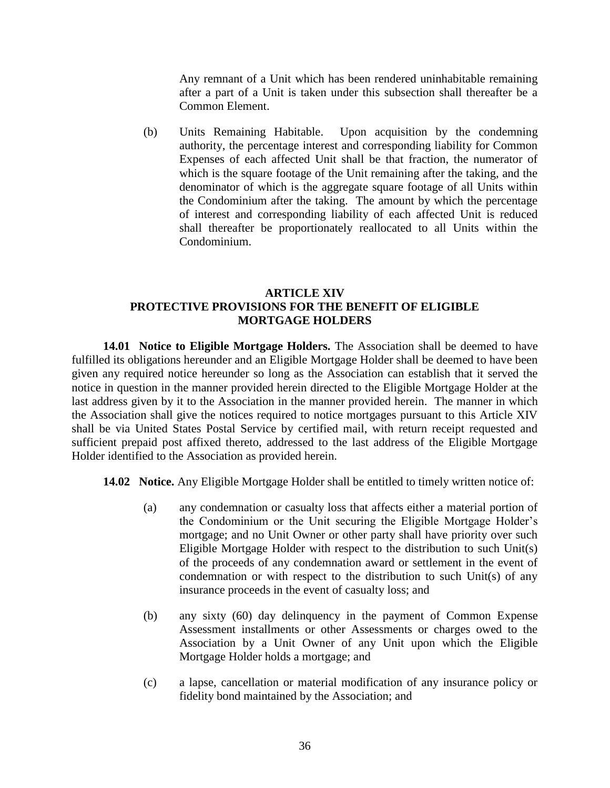Any remnant of a Unit which has been rendered uninhabitable remaining after a part of a Unit is taken under this subsection shall thereafter be a Common Element.

(b) Units Remaining Habitable. Upon acquisition by the condemning authority, the percentage interest and corresponding liability for Common Expenses of each affected Unit shall be that fraction, the numerator of which is the square footage of the Unit remaining after the taking, and the denominator of which is the aggregate square footage of all Units within the Condominium after the taking. The amount by which the percentage of interest and corresponding liability of each affected Unit is reduced shall thereafter be proportionately reallocated to all Units within the Condominium.

## **ARTICLE XIV PROTECTIVE PROVISIONS FOR THE BENEFIT OF ELIGIBLE MORTGAGE HOLDERS**

**14.01 Notice to Eligible Mortgage Holders.** The Association shall be deemed to have fulfilled its obligations hereunder and an Eligible Mortgage Holder shall be deemed to have been given any required notice hereunder so long as the Association can establish that it served the notice in question in the manner provided herein directed to the Eligible Mortgage Holder at the last address given by it to the Association in the manner provided herein. The manner in which the Association shall give the notices required to notice mortgages pursuant to this Article XIV shall be via United States Postal Service by certified mail, with return receipt requested and sufficient prepaid post affixed thereto, addressed to the last address of the Eligible Mortgage Holder identified to the Association as provided herein.

**14.02 Notice.** Any Eligible Mortgage Holder shall be entitled to timely written notice of:

- (a) any condemnation or casualty loss that affects either a material portion of the Condominium or the Unit securing the Eligible Mortgage Holder's mortgage; and no Unit Owner or other party shall have priority over such Eligible Mortgage Holder with respect to the distribution to such Unit(s) of the proceeds of any condemnation award or settlement in the event of condemnation or with respect to the distribution to such Unit(s) of any insurance proceeds in the event of casualty loss; and
- (b) any sixty (60) day delinquency in the payment of Common Expense Assessment installments or other Assessments or charges owed to the Association by a Unit Owner of any Unit upon which the Eligible Mortgage Holder holds a mortgage; and
- (c) a lapse, cancellation or material modification of any insurance policy or fidelity bond maintained by the Association; and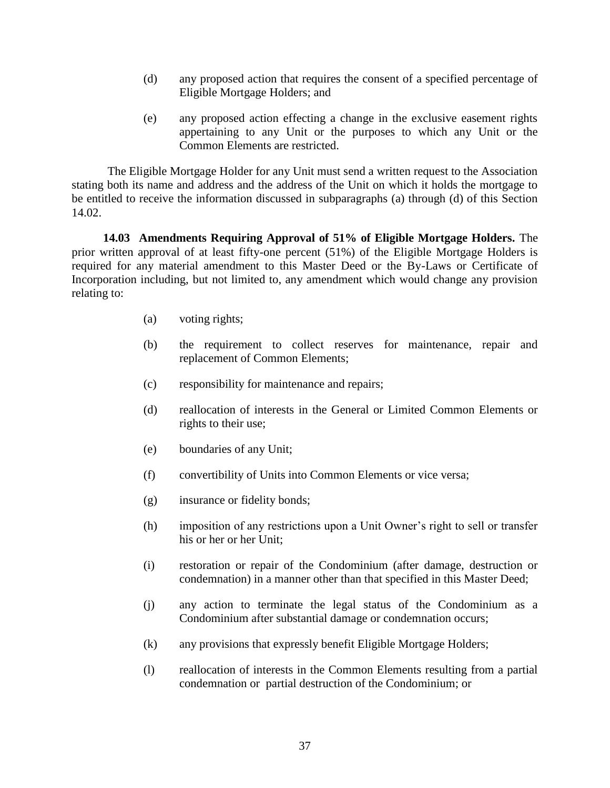- (d) any proposed action that requires the consent of a specified percentage of Eligible Mortgage Holders; and
- (e) any proposed action effecting a change in the exclusive easement rights appertaining to any Unit or the purposes to which any Unit or the Common Elements are restricted.

The Eligible Mortgage Holder for any Unit must send a written request to the Association stating both its name and address and the address of the Unit on which it holds the mortgage to be entitled to receive the information discussed in subparagraphs (a) through (d) of this Section 14.02.

**14.03 Amendments Requiring Approval of 51% of Eligible Mortgage Holders.** The prior written approval of at least fifty-one percent (51%) of the Eligible Mortgage Holders is required for any material amendment to this Master Deed or the By-Laws or Certificate of Incorporation including, but not limited to, any amendment which would change any provision relating to:

- (a) voting rights;
- (b) the requirement to collect reserves for maintenance, repair and replacement of Common Elements;
- (c) responsibility for maintenance and repairs;
- (d) reallocation of interests in the General or Limited Common Elements or rights to their use;
- (e) boundaries of any Unit;
- (f) convertibility of Units into Common Elements or vice versa;
- (g) insurance or fidelity bonds;
- (h) imposition of any restrictions upon a Unit Owner's right to sell or transfer his or her or her Unit;
- (i) restoration or repair of the Condominium (after damage, destruction or condemnation) in a manner other than that specified in this Master Deed;
- (j) any action to terminate the legal status of the Condominium as a Condominium after substantial damage or condemnation occurs;
- (k) any provisions that expressly benefit Eligible Mortgage Holders;
- (l) reallocation of interests in the Common Elements resulting from a partial condemnation or partial destruction of the Condominium; or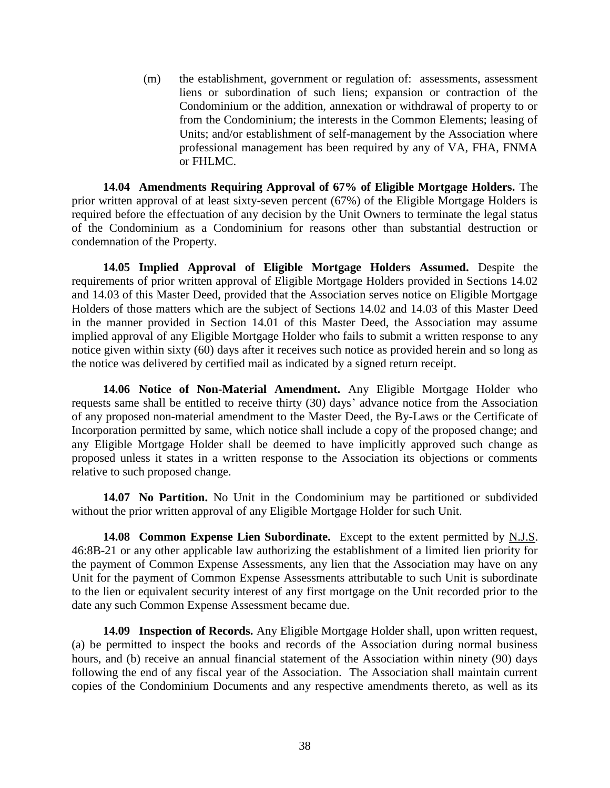(m) the establishment, government or regulation of: assessments, assessment liens or subordination of such liens; expansion or contraction of the Condominium or the addition, annexation or withdrawal of property to or from the Condominium; the interests in the Common Elements; leasing of Units; and/or establishment of self-management by the Association where professional management has been required by any of VA, FHA, FNMA or FHLMC.

**14.04 Amendments Requiring Approval of 67% of Eligible Mortgage Holders.** The prior written approval of at least sixty-seven percent (67%) of the Eligible Mortgage Holders is required before the effectuation of any decision by the Unit Owners to terminate the legal status of the Condominium as a Condominium for reasons other than substantial destruction or condemnation of the Property.

**14.05 Implied Approval of Eligible Mortgage Holders Assumed.** Despite the requirements of prior written approval of Eligible Mortgage Holders provided in Sections 14.02 and 14.03 of this Master Deed, provided that the Association serves notice on Eligible Mortgage Holders of those matters which are the subject of Sections 14.02 and 14.03 of this Master Deed in the manner provided in Section 14.01 of this Master Deed, the Association may assume implied approval of any Eligible Mortgage Holder who fails to submit a written response to any notice given within sixty (60) days after it receives such notice as provided herein and so long as the notice was delivered by certified mail as indicated by a signed return receipt.

**14.06 Notice of Non-Material Amendment.** Any Eligible Mortgage Holder who requests same shall be entitled to receive thirty (30) days' advance notice from the Association of any proposed non-material amendment to the Master Deed, the By-Laws or the Certificate of Incorporation permitted by same, which notice shall include a copy of the proposed change; and any Eligible Mortgage Holder shall be deemed to have implicitly approved such change as proposed unless it states in a written response to the Association its objections or comments relative to such proposed change.

**14.07 No Partition.** No Unit in the Condominium may be partitioned or subdivided without the prior written approval of any Eligible Mortgage Holder for such Unit.

**14.08 Common Expense Lien Subordinate.** Except to the extent permitted by N.J.S. 46:8B-21 or any other applicable law authorizing the establishment of a limited lien priority for the payment of Common Expense Assessments, any lien that the Association may have on any Unit for the payment of Common Expense Assessments attributable to such Unit is subordinate to the lien or equivalent security interest of any first mortgage on the Unit recorded prior to the date any such Common Expense Assessment became due.

**14.09 Inspection of Records.** Any Eligible Mortgage Holder shall, upon written request, (a) be permitted to inspect the books and records of the Association during normal business hours, and (b) receive an annual financial statement of the Association within ninety (90) days following the end of any fiscal year of the Association. The Association shall maintain current copies of the Condominium Documents and any respective amendments thereto, as well as its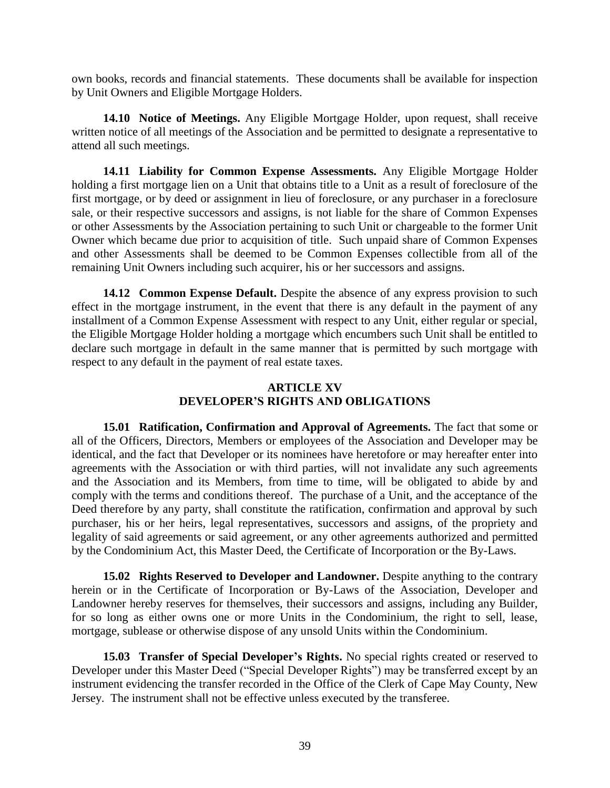own books, records and financial statements. These documents shall be available for inspection by Unit Owners and Eligible Mortgage Holders.

**14.10 Notice of Meetings.** Any Eligible Mortgage Holder, upon request, shall receive written notice of all meetings of the Association and be permitted to designate a representative to attend all such meetings.

**14.11 Liability for Common Expense Assessments.** Any Eligible Mortgage Holder holding a first mortgage lien on a Unit that obtains title to a Unit as a result of foreclosure of the first mortgage, or by deed or assignment in lieu of foreclosure, or any purchaser in a foreclosure sale, or their respective successors and assigns, is not liable for the share of Common Expenses or other Assessments by the Association pertaining to such Unit or chargeable to the former Unit Owner which became due prior to acquisition of title. Such unpaid share of Common Expenses and other Assessments shall be deemed to be Common Expenses collectible from all of the remaining Unit Owners including such acquirer, his or her successors and assigns.

**14.12 Common Expense Default.** Despite the absence of any express provision to such effect in the mortgage instrument, in the event that there is any default in the payment of any installment of a Common Expense Assessment with respect to any Unit, either regular or special, the Eligible Mortgage Holder holding a mortgage which encumbers such Unit shall be entitled to declare such mortgage in default in the same manner that is permitted by such mortgage with respect to any default in the payment of real estate taxes.

## **ARTICLE XV DEVELOPER'S RIGHTS AND OBLIGATIONS**

**15.01 Ratification, Confirmation and Approval of Agreements.** The fact that some or all of the Officers, Directors, Members or employees of the Association and Developer may be identical, and the fact that Developer or its nominees have heretofore or may hereafter enter into agreements with the Association or with third parties, will not invalidate any such agreements and the Association and its Members, from time to time, will be obligated to abide by and comply with the terms and conditions thereof. The purchase of a Unit, and the acceptance of the Deed therefore by any party, shall constitute the ratification, confirmation and approval by such purchaser, his or her heirs, legal representatives, successors and assigns, of the propriety and legality of said agreements or said agreement, or any other agreements authorized and permitted by the Condominium Act, this Master Deed, the Certificate of Incorporation or the By-Laws.

**15.02 Rights Reserved to Developer and Landowner.** Despite anything to the contrary herein or in the Certificate of Incorporation or By-Laws of the Association, Developer and Landowner hereby reserves for themselves, their successors and assigns, including any Builder, for so long as either owns one or more Units in the Condominium, the right to sell, lease, mortgage, sublease or otherwise dispose of any unsold Units within the Condominium.

**15.03 Transfer of Special Developer's Rights.** No special rights created or reserved to Developer under this Master Deed ("Special Developer Rights") may be transferred except by an instrument evidencing the transfer recorded in the Office of the Clerk of Cape May County, New Jersey. The instrument shall not be effective unless executed by the transferee.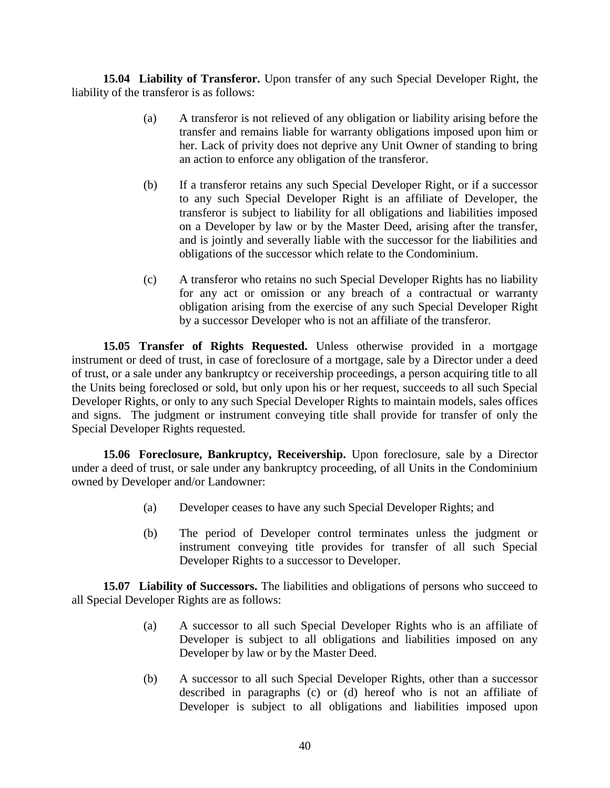**15.04 Liability of Transferor.** Upon transfer of any such Special Developer Right, the liability of the transferor is as follows:

- (a) A transferor is not relieved of any obligation or liability arising before the transfer and remains liable for warranty obligations imposed upon him or her. Lack of privity does not deprive any Unit Owner of standing to bring an action to enforce any obligation of the transferor.
- (b) If a transferor retains any such Special Developer Right, or if a successor to any such Special Developer Right is an affiliate of Developer, the transferor is subject to liability for all obligations and liabilities imposed on a Developer by law or by the Master Deed, arising after the transfer, and is jointly and severally liable with the successor for the liabilities and obligations of the successor which relate to the Condominium.
- (c) A transferor who retains no such Special Developer Rights has no liability for any act or omission or any breach of a contractual or warranty obligation arising from the exercise of any such Special Developer Right by a successor Developer who is not an affiliate of the transferor.

**15.05 Transfer of Rights Requested.** Unless otherwise provided in a mortgage instrument or deed of trust, in case of foreclosure of a mortgage, sale by a Director under a deed of trust, or a sale under any bankruptcy or receivership proceedings, a person acquiring title to all the Units being foreclosed or sold, but only upon his or her request, succeeds to all such Special Developer Rights, or only to any such Special Developer Rights to maintain models, sales offices and signs. The judgment or instrument conveying title shall provide for transfer of only the Special Developer Rights requested.

**15.06 Foreclosure, Bankruptcy, Receivership.** Upon foreclosure, sale by a Director under a deed of trust, or sale under any bankruptcy proceeding, of all Units in the Condominium owned by Developer and/or Landowner:

- (a) Developer ceases to have any such Special Developer Rights; and
- (b) The period of Developer control terminates unless the judgment or instrument conveying title provides for transfer of all such Special Developer Rights to a successor to Developer.

**15.07 Liability of Successors.** The liabilities and obligations of persons who succeed to all Special Developer Rights are as follows:

- (a) A successor to all such Special Developer Rights who is an affiliate of Developer is subject to all obligations and liabilities imposed on any Developer by law or by the Master Deed.
- (b) A successor to all such Special Developer Rights, other than a successor described in paragraphs (c) or (d) hereof who is not an affiliate of Developer is subject to all obligations and liabilities imposed upon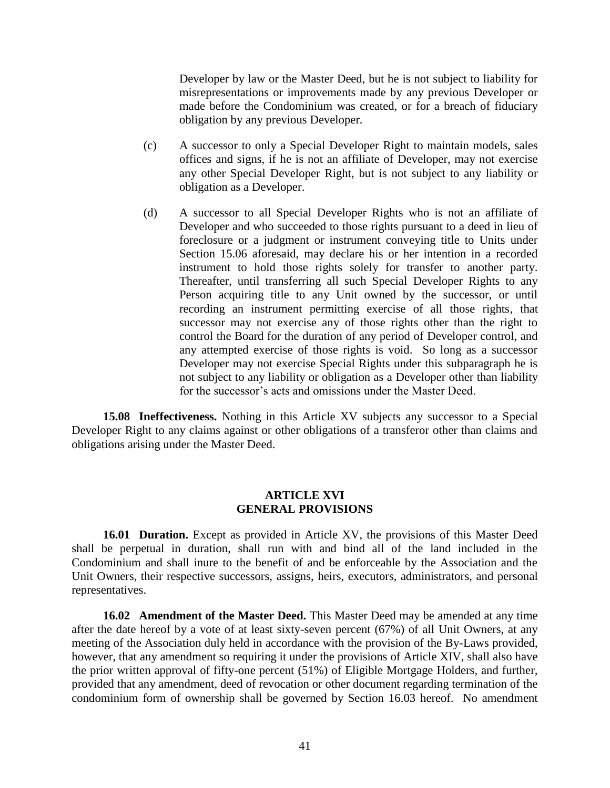Developer by law or the Master Deed, but he is not subject to liability for misrepresentations or improvements made by any previous Developer or made before the Condominium was created, or for a breach of fiduciary obligation by any previous Developer.

- (c) A successor to only a Special Developer Right to maintain models, sales offices and signs, if he is not an affiliate of Developer, may not exercise any other Special Developer Right, but is not subject to any liability or obligation as a Developer.
- (d) A successor to all Special Developer Rights who is not an affiliate of Developer and who succeeded to those rights pursuant to a deed in lieu of foreclosure or a judgment or instrument conveying title to Units under Section 15.06 aforesaid, may declare his or her intention in a recorded instrument to hold those rights solely for transfer to another party. Thereafter, until transferring all such Special Developer Rights to any Person acquiring title to any Unit owned by the successor, or until recording an instrument permitting exercise of all those rights, that successor may not exercise any of those rights other than the right to control the Board for the duration of any period of Developer control, and any attempted exercise of those rights is void. So long as a successor Developer may not exercise Special Rights under this subparagraph he is not subject to any liability or obligation as a Developer other than liability for the successor's acts and omissions under the Master Deed.

**15.08 Ineffectiveness.** Nothing in this Article XV subjects any successor to a Special Developer Right to any claims against or other obligations of a transferor other than claims and obligations arising under the Master Deed.

#### **ARTICLE XVI GENERAL PROVISIONS**

**16.01 Duration.** Except as provided in Article XV, the provisions of this Master Deed shall be perpetual in duration, shall run with and bind all of the land included in the Condominium and shall inure to the benefit of and be enforceable by the Association and the Unit Owners, their respective successors, assigns, heirs, executors, administrators, and personal representatives.

**16.02 Amendment of the Master Deed.** This Master Deed may be amended at any time after the date hereof by a vote of at least sixty-seven percent (67%) of all Unit Owners, at any meeting of the Association duly held in accordance with the provision of the By-Laws provided, however, that any amendment so requiring it under the provisions of Article XIV, shall also have the prior written approval of fifty-one percent (51%) of Eligible Mortgage Holders, and further, provided that any amendment, deed of revocation or other document regarding termination of the condominium form of ownership shall be governed by Section 16.03 hereof. No amendment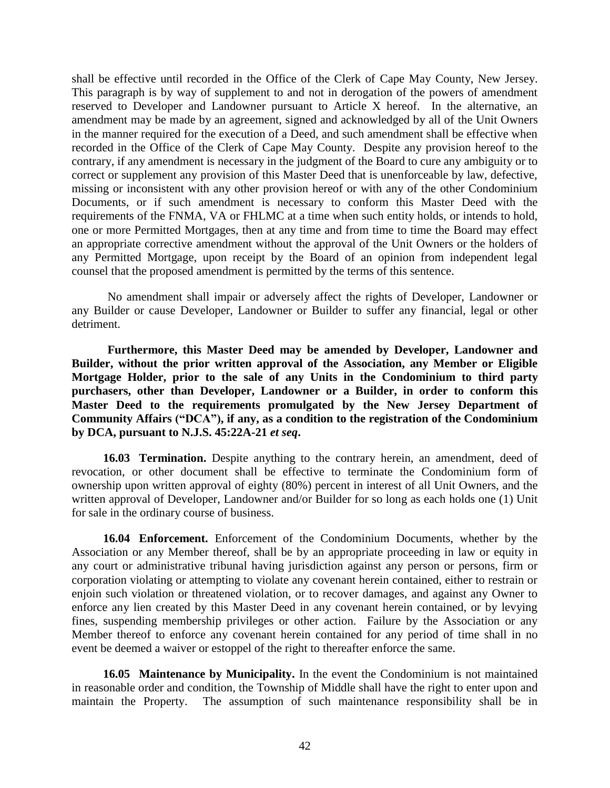shall be effective until recorded in the Office of the Clerk of Cape May County, New Jersey. This paragraph is by way of supplement to and not in derogation of the powers of amendment reserved to Developer and Landowner pursuant to Article X hereof. In the alternative, an amendment may be made by an agreement, signed and acknowledged by all of the Unit Owners in the manner required for the execution of a Deed, and such amendment shall be effective when recorded in the Office of the Clerk of Cape May County. Despite any provision hereof to the contrary, if any amendment is necessary in the judgment of the Board to cure any ambiguity or to correct or supplement any provision of this Master Deed that is unenforceable by law, defective, missing or inconsistent with any other provision hereof or with any of the other Condominium Documents, or if such amendment is necessary to conform this Master Deed with the requirements of the FNMA, VA or FHLMC at a time when such entity holds, or intends to hold, one or more Permitted Mortgages, then at any time and from time to time the Board may effect an appropriate corrective amendment without the approval of the Unit Owners or the holders of any Permitted Mortgage, upon receipt by the Board of an opinion from independent legal counsel that the proposed amendment is permitted by the terms of this sentence.

No amendment shall impair or adversely affect the rights of Developer, Landowner or any Builder or cause Developer, Landowner or Builder to suffer any financial, legal or other detriment.

**Furthermore, this Master Deed may be amended by Developer, Landowner and Builder, without the prior written approval of the Association, any Member or Eligible Mortgage Holder, prior to the sale of any Units in the Condominium to third party purchasers, other than Developer, Landowner or a Builder, in order to conform this Master Deed to the requirements promulgated by the New Jersey Department of Community Affairs ("DCA"), if any, as a condition to the registration of the Condominium by DCA, pursuant to N.J.S. 45:22A-21** *et seq***.**

**16.03 Termination.** Despite anything to the contrary herein, an amendment, deed of revocation, or other document shall be effective to terminate the Condominium form of ownership upon written approval of eighty (80%) percent in interest of all Unit Owners, and the written approval of Developer, Landowner and/or Builder for so long as each holds one (1) Unit for sale in the ordinary course of business.

**16.04 Enforcement.** Enforcement of the Condominium Documents, whether by the Association or any Member thereof, shall be by an appropriate proceeding in law or equity in any court or administrative tribunal having jurisdiction against any person or persons, firm or corporation violating or attempting to violate any covenant herein contained, either to restrain or enjoin such violation or threatened violation, or to recover damages, and against any Owner to enforce any lien created by this Master Deed in any covenant herein contained, or by levying fines, suspending membership privileges or other action. Failure by the Association or any Member thereof to enforce any covenant herein contained for any period of time shall in no event be deemed a waiver or estoppel of the right to thereafter enforce the same.

**16.05 Maintenance by Municipality.** In the event the Condominium is not maintained in reasonable order and condition, the Township of Middle shall have the right to enter upon and maintain the Property. The assumption of such maintenance responsibility shall be in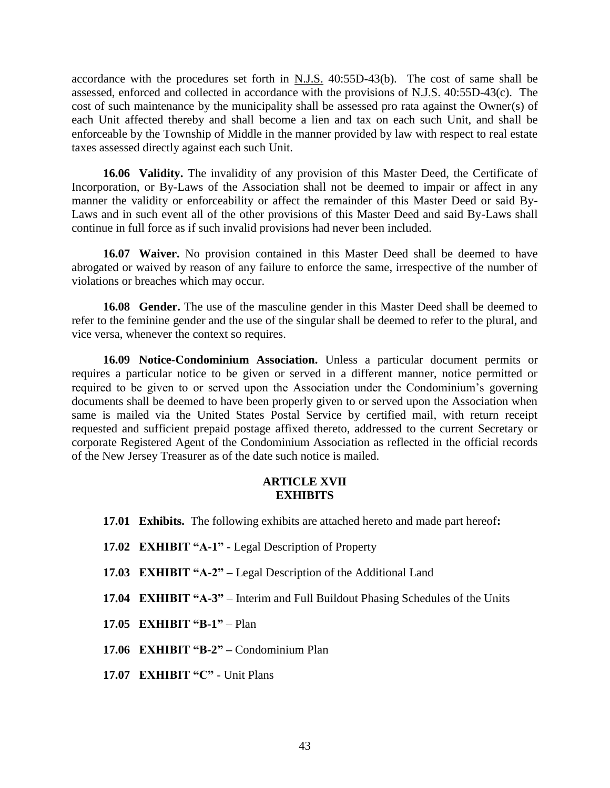accordance with the procedures set forth in  $N.J.S.$  40:55D-43(b). The cost of same shall be assessed, enforced and collected in accordance with the provisions of N.J.S. 40:55D-43(c). The cost of such maintenance by the municipality shall be assessed pro rata against the Owner(s) of each Unit affected thereby and shall become a lien and tax on each such Unit, and shall be enforceable by the Township of Middle in the manner provided by law with respect to real estate taxes assessed directly against each such Unit.

**16.06 Validity.** The invalidity of any provision of this Master Deed, the Certificate of Incorporation, or By-Laws of the Association shall not be deemed to impair or affect in any manner the validity or enforceability or affect the remainder of this Master Deed or said By-Laws and in such event all of the other provisions of this Master Deed and said By-Laws shall continue in full force as if such invalid provisions had never been included.

**16.07 Waiver.** No provision contained in this Master Deed shall be deemed to have abrogated or waived by reason of any failure to enforce the same, irrespective of the number of violations or breaches which may occur.

**16.08 Gender.** The use of the masculine gender in this Master Deed shall be deemed to refer to the feminine gender and the use of the singular shall be deemed to refer to the plural, and vice versa, whenever the context so requires.

**16.09 Notice-Condominium Association.** Unless a particular document permits or requires a particular notice to be given or served in a different manner, notice permitted or required to be given to or served upon the Association under the Condominium's governing documents shall be deemed to have been properly given to or served upon the Association when same is mailed via the United States Postal Service by certified mail, with return receipt requested and sufficient prepaid postage affixed thereto, addressed to the current Secretary or corporate Registered Agent of the Condominium Association as reflected in the official records of the New Jersey Treasurer as of the date such notice is mailed.

### **ARTICLE XVII EXHIBITS**

- **17.01 Exhibits.** The following exhibits are attached hereto and made part hereof**:**
- **17.02 EXHIBIT "A-1"** Legal Description of Property
- **17.03 EXHIBIT "A-2" –** Legal Description of the Additional Land
- **17.04 EXHIBIT "A-3"**  Interim and Full Buildout Phasing Schedules of the Units
- **17.05 EXHIBIT "B-1"** Plan
- **17.06 EXHIBIT "B-2" –** Condominium Plan
- **17.07 EXHIBIT "C"** Unit Plans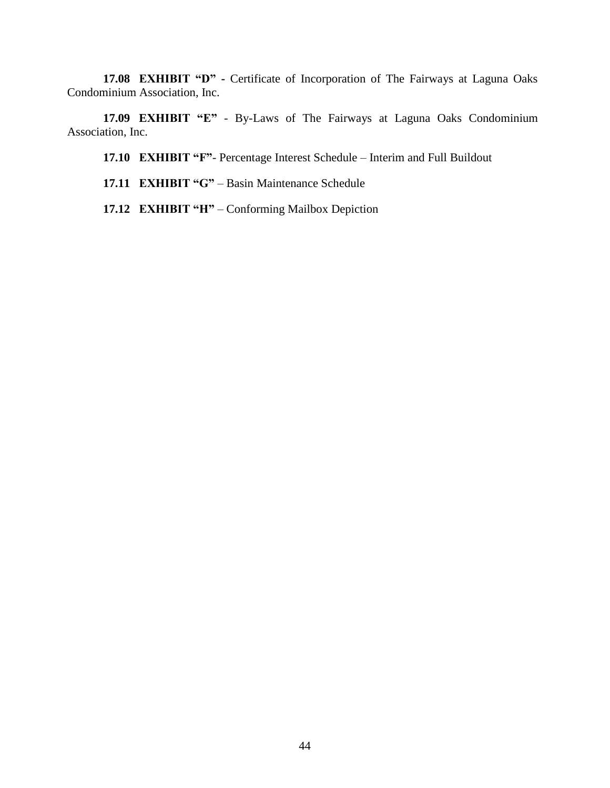**17.08 EXHIBIT "D" -** Certificate of Incorporation of The Fairways at Laguna Oaks Condominium Association, Inc.

**17.09 EXHIBIT "E"** - By-Laws of The Fairways at Laguna Oaks Condominium Association, Inc.

**17.10 EXHIBIT "F"**- Percentage Interest Schedule – Interim and Full Buildout

- **17.11 EXHIBIT "G"** Basin Maintenance Schedule
- **17.12 EXHIBIT "H"** Conforming Mailbox Depiction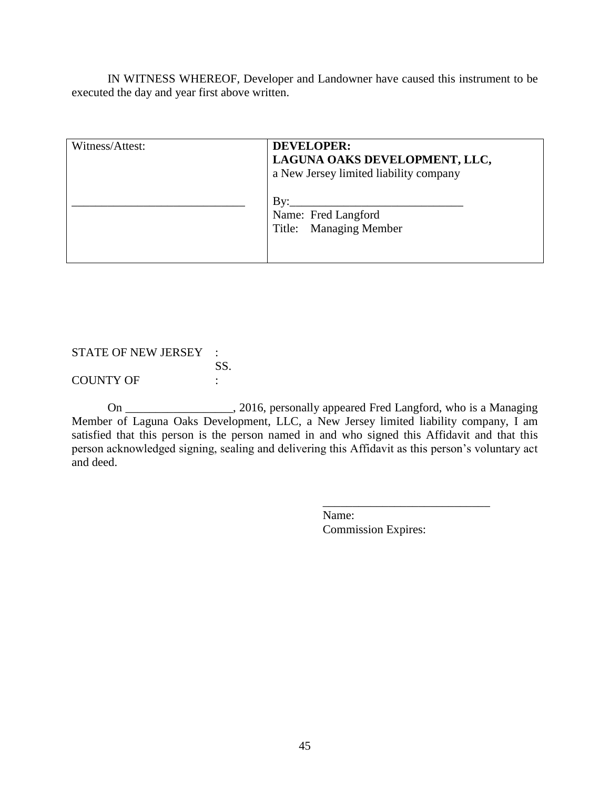IN WITNESS WHEREOF, Developer and Landowner have caused this instrument to be executed the day and year first above written.

| Witness/Attest: | <b>DEVELOPER:</b><br>LAGUNA OAKS DEVELOPMENT, LLC,<br>a New Jersey limited liability company |
|-----------------|----------------------------------------------------------------------------------------------|
|                 | $\mathbf{By:}$<br>Name: Fred Langford<br>Title: Managing Member                              |

STATE OF NEW JERSEY : SS.

COUNTY OF :

On \_\_\_\_\_\_\_\_\_\_\_\_\_\_\_\_\_\_, 2016, personally appeared Fred Langford, who is a Managing Member of Laguna Oaks Development, LLC, a New Jersey limited liability company, I am satisfied that this person is the person named in and who signed this Affidavit and that this person acknowledged signing, sealing and delivering this Affidavit as this person's voluntary act and deed.

> Name: Commission Expires:

\_\_\_\_\_\_\_\_\_\_\_\_\_\_\_\_\_\_\_\_\_\_\_\_\_\_\_\_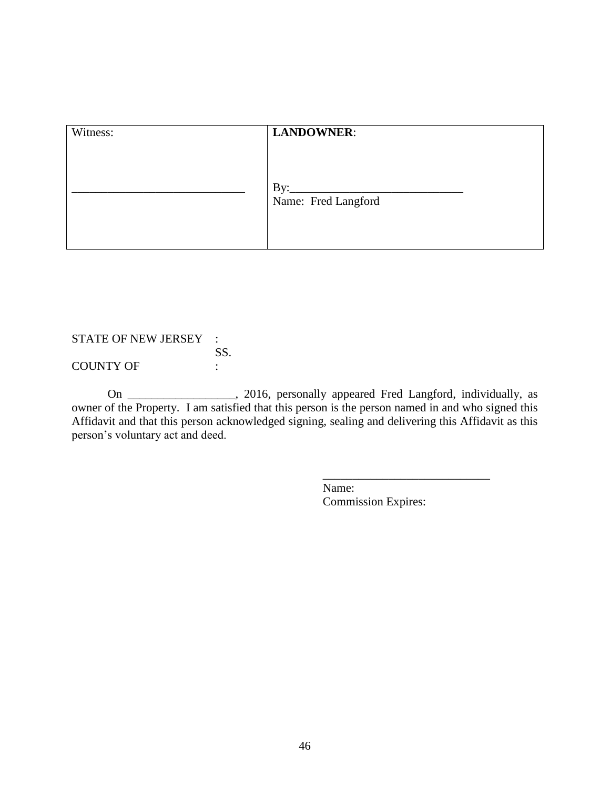| Witness: | <b>LANDOWNER:</b>                 |  |
|----------|-----------------------------------|--|
|          |                                   |  |
|          | $\rm\,By:$<br>Name: Fred Langford |  |
|          |                                   |  |

## STATE OF NEW JERSEY : SS. COUNTY OF :

On \_\_\_\_\_\_\_\_\_\_\_\_\_\_\_\_\_\_, 2016, personally appeared Fred Langford, individually, as owner of the Property. I am satisfied that this person is the person named in and who signed this Affidavit and that this person acknowledged signing, sealing and delivering this Affidavit as this person's voluntary act and deed.

> Name: Commission Expires:

\_\_\_\_\_\_\_\_\_\_\_\_\_\_\_\_\_\_\_\_\_\_\_\_\_\_\_\_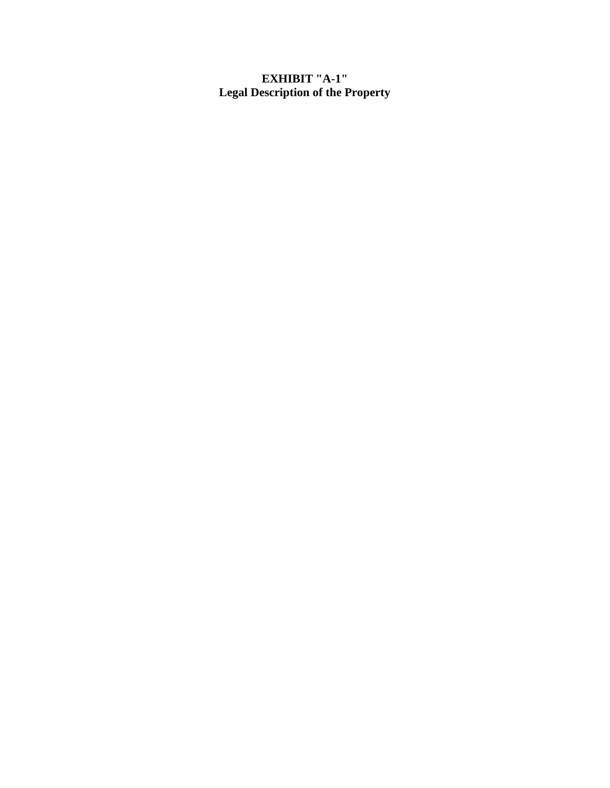### **EXHIBIT "A-1" Legal Description of the Property**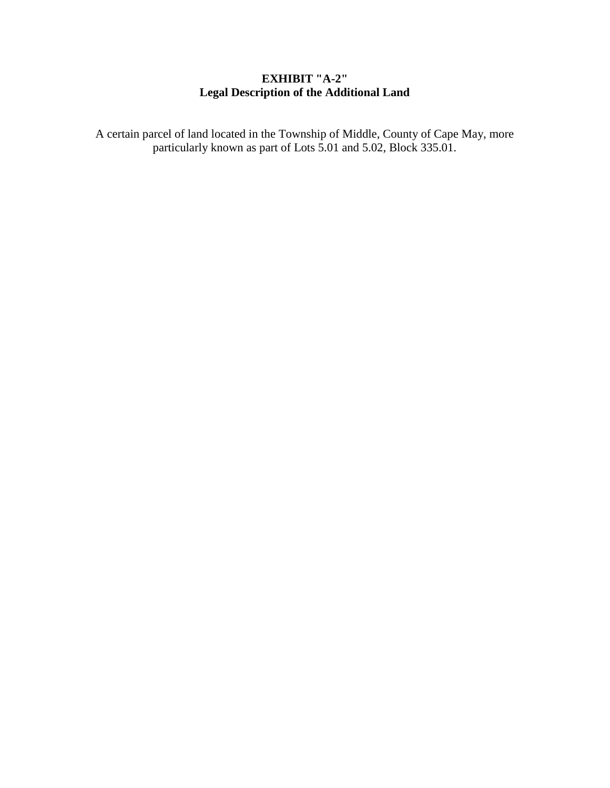# **EXHIBIT "A-2" Legal Description of the Additional Land**

A certain parcel of land located in the Township of Middle, County of Cape May, more particularly known as part of Lots 5.01 and 5.02, Block 335.01.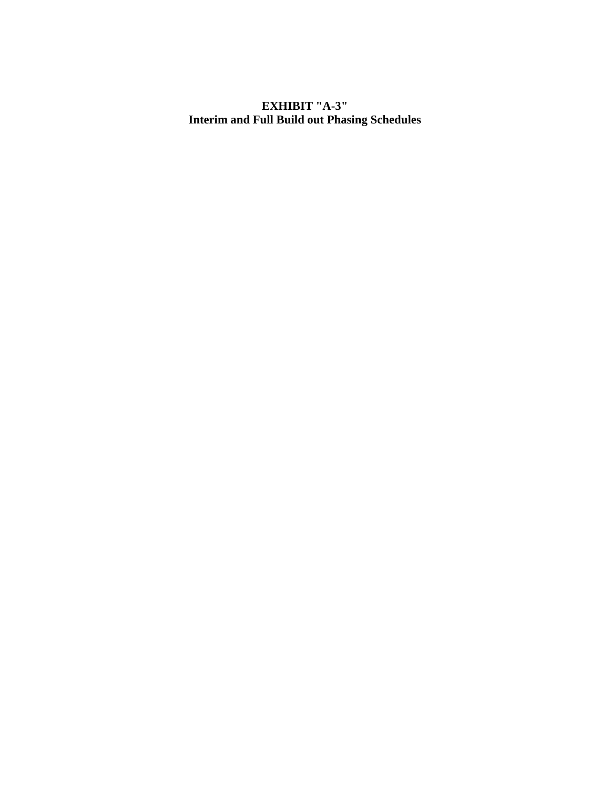### **EXHIBIT "A-3" Interim and Full Build out Phasing Schedules**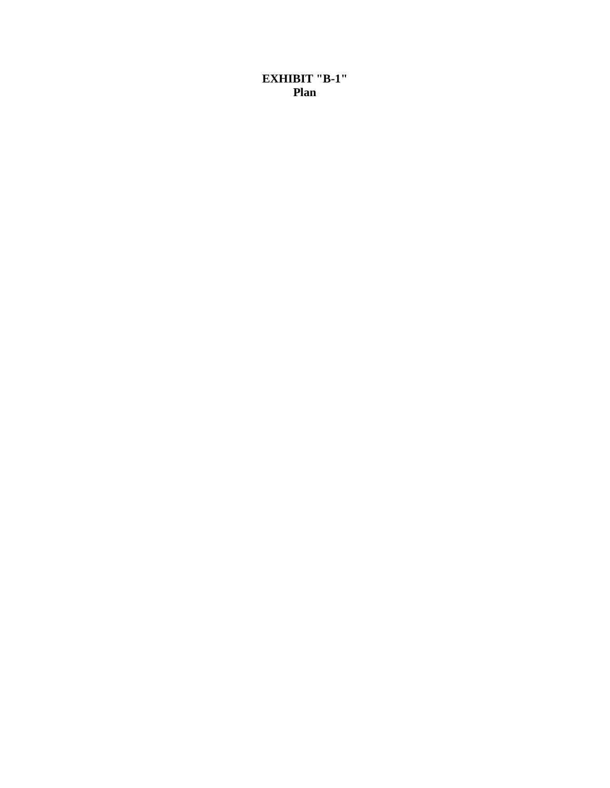**EXHIBIT "B-1" Plan**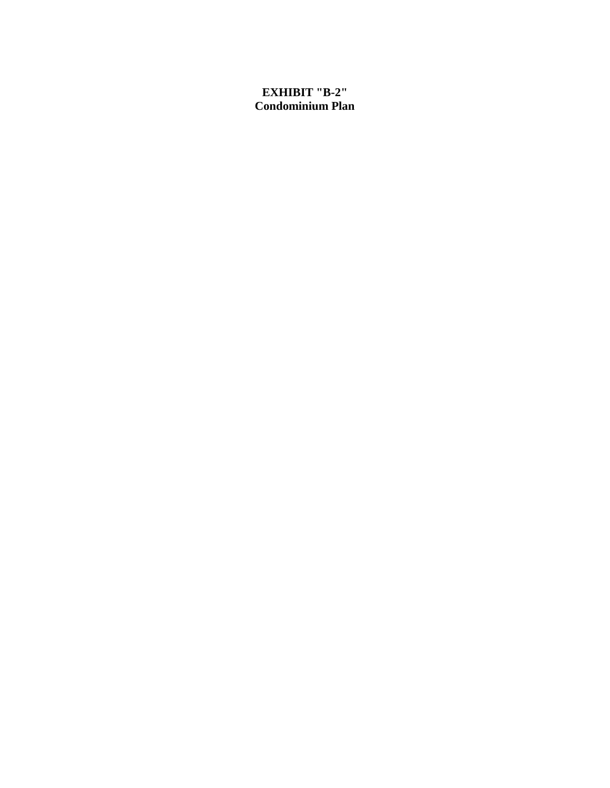# **EXHIBIT "B-2" Condominium Plan**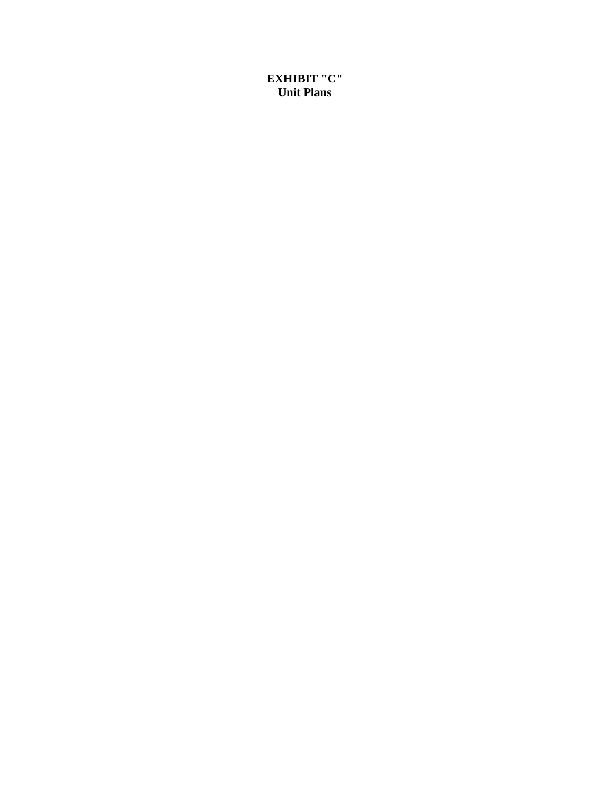**EXHIBIT "C" Unit Plans**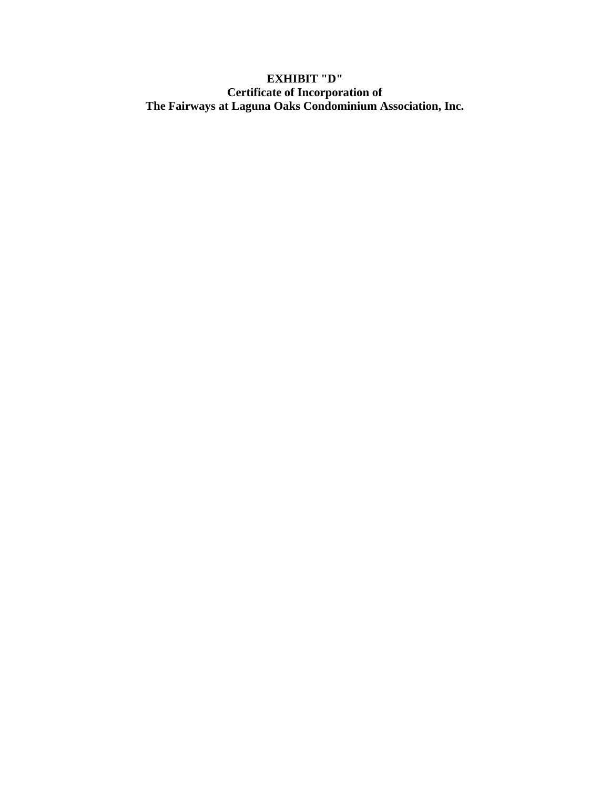# **EXHIBIT "D" Certificate of Incorporation of The Fairways at Laguna Oaks Condominium Association, Inc.**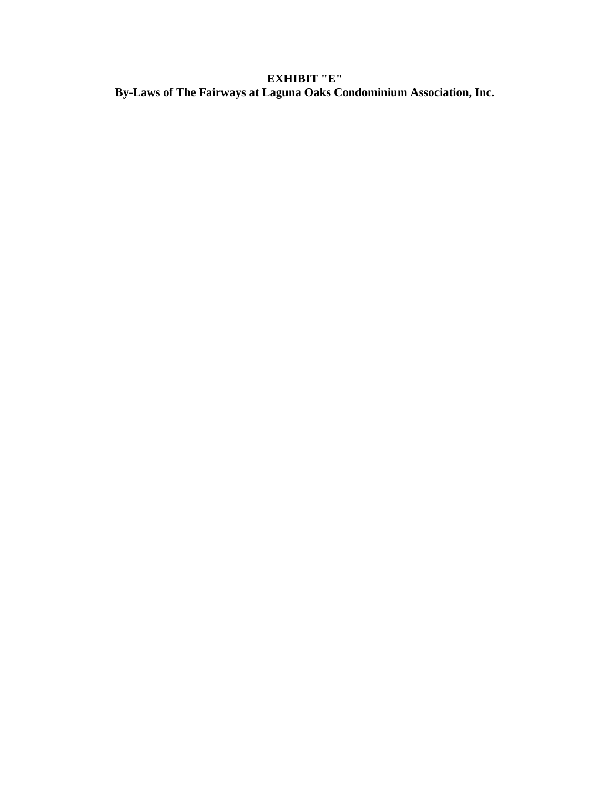# **EXHIBIT "E" By-Laws of The Fairways at Laguna Oaks Condominium Association, Inc.**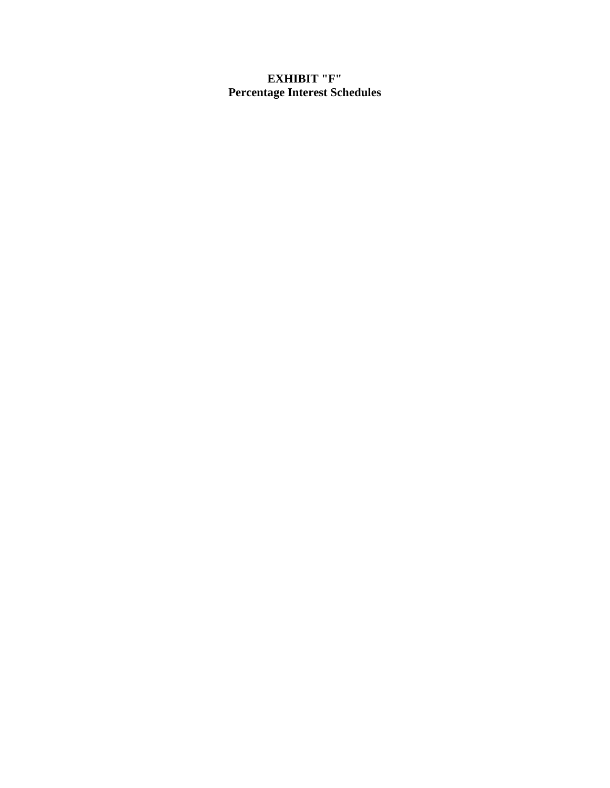# **EXHIBIT "F" Percentage Interest Schedules**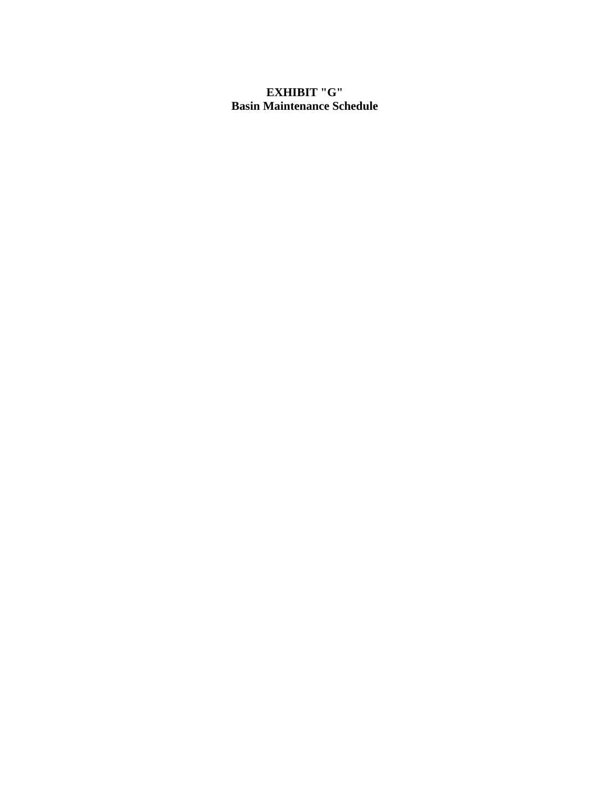# **EXHIBIT "G" Basin Maintenance Schedule**